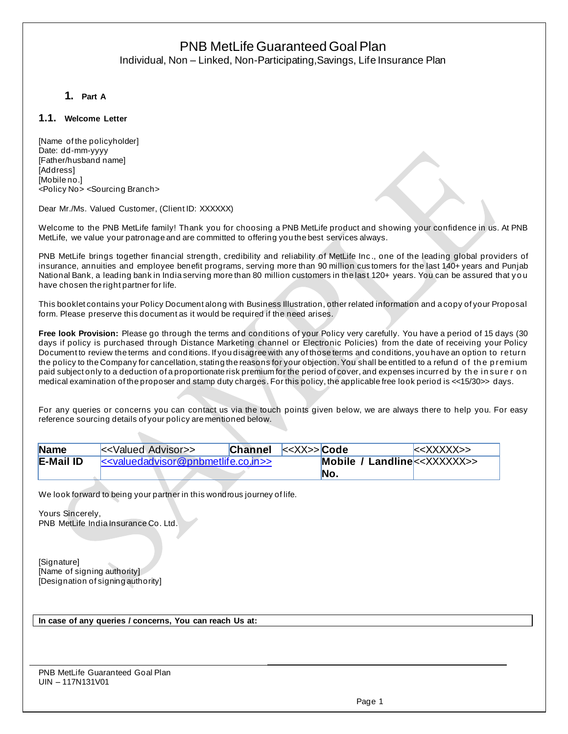# PNB MetLife Guaranteed Goal Plan Individual, Non – Linked, Non-Participating,Savings, Life Insurance Plan

## **1. Part A**

### **1.1. Welcome Letter**

[Name of the policyholder] Date: dd-mm-yyyy [Father/husband name] [Address] [Mobile no.] <Policy No> <Sourcing Branch>

Dear Mr./Ms. Valued Customer, (Client ID: XXXXXX)

Welcome to the PNB MetLife family! Thank you for choosing a PNB MetLife product and showing your confidence in us. At PNB MetLife, we value your patronage and are committed to offering you the best services always.

PNB MetLife brings together financial strength, credibility and reliability of MetLife Inc., one of the leading global providers of insurance, annuities and employee benefit programs, serving more than 90 million cus tomers for the last 140+ years and Punjab National Bank, a leading bank in India serving more than 80 million customers in the last 120+ years. You can be assured that you have chosen the right partner for life.

This booklet contains your Policy Document along with Business Illustration, other related information and a copy of your Proposal form. Please preserve this document as it would be required if the need arises.

**Free look Provision:** Please go through the terms and conditions of your Policy very carefully. You have a period of 15 days (30 days if policy is purchased through Distance Marketing channel or Electronic Policies) from the date of receiving your Policy Document to review the terms and conditions. If you disagree with any of those terms and conditions, you have an option to return the policy to the Company for cancellation, stating the reasons for your objection. You shall be entitled to a refund of the premium paid subject only to a deduction of a proportionate risk premium for the period of cover, and expenses incurred by the insure r on medical examination of the proposer and stamp duty charges. For this policy, the applicable free look period is <<15/30>> days.

For any queries or concerns you can contact us via the touch points given below, we are always there to help you. For easy reference sourcing details of your policy are mentioned below.

| <b>Name</b>      | <b>Channel</b><br>< <valued advisor="">&gt;</valued> | $ <<\!\!\!\times\!\!\times\!\!\times\!\!>$ Code | $<\times$ XXXXX>> |
|------------------|------------------------------------------------------|-------------------------------------------------|-------------------|
| <b>E-Mail ID</b> | $\le$ valuedadvisor@pnbmetlife.co.in>>               | <b>Mobile / Landline</b> $<<$ XXXXXX $>>$       |                   |
|                  |                                                      | No.                                             |                   |

We look forward to being your partner in this wondrous journey of life.

Yours Sincerely, PNB MetLife India Insurance Co. Ltd.

[Signature] [Name of signing authority] [Designation of signing authority]

**In case of any queries / concerns, You can reach Us at:**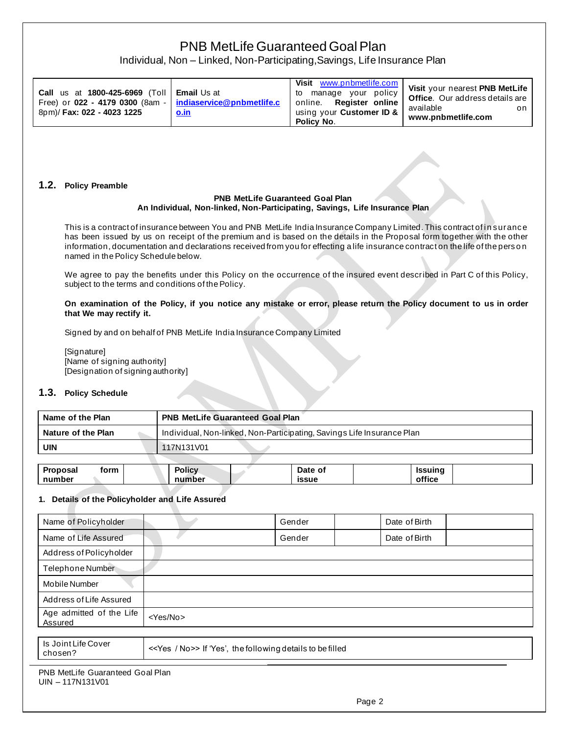# Individual, Non – Linked, Non-Participating,Savings, Life Insurance Plan

| Call us at $1800 - 425 - 6969$ (Toll   Email Us at<br>Free) or 022 - 4179 0300 (8am -   indiaservice@pnbmetlife.c<br>8pm)/ Fax: 022 - 4023 1225 | <u>o.in</u> | Visit www.pnbmetlife.com<br>to manage your policy<br>online. Register online<br>using your Customer ID &<br>Policy No. | Visit your nearest PNB MetLife<br><b>Office.</b> Our address details are<br>available<br>on<br>www.pnbmetlife.com |
|-------------------------------------------------------------------------------------------------------------------------------------------------|-------------|------------------------------------------------------------------------------------------------------------------------|-------------------------------------------------------------------------------------------------------------------|
|-------------------------------------------------------------------------------------------------------------------------------------------------|-------------|------------------------------------------------------------------------------------------------------------------------|-------------------------------------------------------------------------------------------------------------------|

### **1.2. Policy Preamble**

#### **PNB MetLife Guaranteed Goal Plan An Individual, Non-linked, Non-Participating, Savings, Life Insurance Plan**

This is a contract of insurance between You and PNB MetLife India Insurance Company Limited. This contract of insurance has been issued by us on receipt of the premium and is based on the details in the Proposal form together with the other information, documentation and declarations received from you for effecting a life insurance contract on the life of the perso n named in the Policy Schedule below.

We agree to pay the benefits under this Policy on the occurrence of the insured event described in Part C of this Policy, subject to the terms and conditions of the Policy.

**On examination of the Policy, if you notice any mistake or error, please return the Policy document to us in order that We may rectify it.**

Signed by and on behalf of PNB MetLife India Insurance Company Limited

[Signature] [Name of signing authority] [Designation of signing authority]

### **1.3. Policy Schedule**

| Name of the Plan   | <b>PNB MetLife Guaranteed Goal Plan</b>                                |
|--------------------|------------------------------------------------------------------------|
| Nature of the Plan | Individual, Non-linked, Non-Participating, Savings Life Insurance Plan |
| UIN                | 117N131V01                                                             |
|                    |                                                                        |

| <b>Proposal</b><br>form | <b>Policy</b> | Date of      | <b>Issuing</b> |  |
|-------------------------|---------------|--------------|----------------|--|
| number                  | number        | <b>issue</b> | office         |  |

### **1. Details of the Policyholder and Life Assured**

| Name of Policyholder                |                                                             | Gender | Date of Birth |  |  |
|-------------------------------------|-------------------------------------------------------------|--------|---------------|--|--|
| Name of Life Assured                |                                                             | Gender | Date of Birth |  |  |
| Address of Policyholder             |                                                             |        |               |  |  |
| Telephone Number                    |                                                             |        |               |  |  |
| <b>Mobile Number</b>                |                                                             |        |               |  |  |
| Address of Life Assured             |                                                             |        |               |  |  |
| Age admitted of the Life<br>Assured | <yes no=""></yes>                                           |        |               |  |  |
|                                     |                                                             |        |               |  |  |
| Is Joint Life Cover<br>chosen?      | << Yes / No >> If 'Yes', the following details to be filled |        |               |  |  |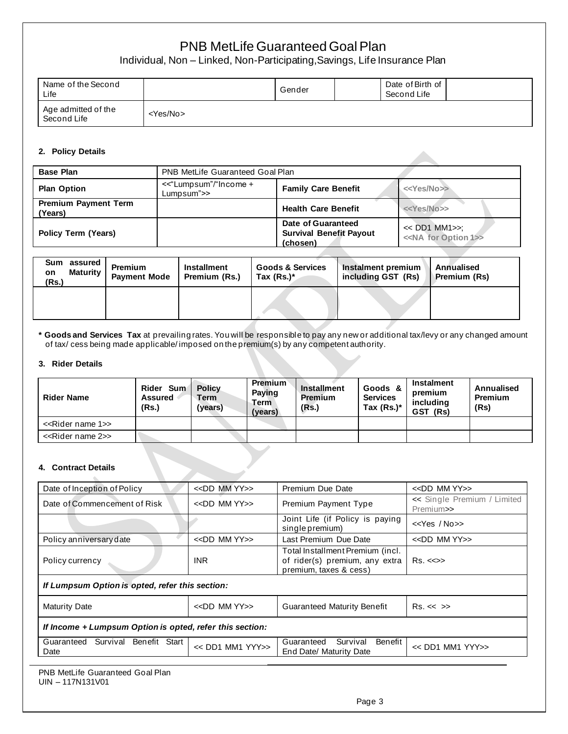Individual, Non – Linked, Non-Participating,Savings, Life Insurance Plan

| Name of the Second<br>Life         |                   | Gender | Date of Birth of<br>Second Life |  |
|------------------------------------|-------------------|--------|---------------------------------|--|
| Age admitted of the<br>Second Life | <yes no=""></yes> |        |                                 |  |

### **2. Policy Details**

| <b>Base Plan</b>                       | PNB MetLife Guaranteed Goal Plan    |                                                                  |                                                        |  |  |
|----------------------------------------|-------------------------------------|------------------------------------------------------------------|--------------------------------------------------------|--|--|
| <b>Plan Option</b>                     | <<"Lumpsum"/"Income +<br>Lumpsum">> | <b>Family Care Benefit</b>                                       | < <yes no="">&gt;</yes>                                |  |  |
| <b>Premium Payment Term</b><br>(Years) |                                     | <b>Health Care Benefit</b>                                       | < <yes no="">&gt;</yes>                                |  |  |
| <b>Policy Term (Years)</b>             |                                     | Date of Guaranteed<br><b>Survival Benefit Payout</b><br>(chosen) | << DD1 MM1>>:<br>< <na 1="" for="" option="">&gt;</na> |  |  |

| Sum assured<br><b>Maturity</b><br>on<br>(Rs.) | <b>Premium</b><br><b>Payment Mode</b> | <b>Installment</b><br>Premium (Rs.) | <b>Goods &amp; Services</b><br>Tax $(Rs.)^*$ | Instalment premium<br>including GST (Rs) | <b>Annualised</b><br>Premium (Rs) |
|-----------------------------------------------|---------------------------------------|-------------------------------------|----------------------------------------------|------------------------------------------|-----------------------------------|
|                                               |                                       |                                     |                                              |                                          |                                   |

**\* Goods and Services Tax** at prevailing rates. You will be responsible to pay any new or additional tax/levy or any changed amount of tax/ cess being made applicable/ imposed on the premium(s) by any competent authority.

### **3. Rider Details**

| <b>Rider Name</b>                  | Rider Sum<br><b>Assured</b><br>(Rs.) | <b>Policy</b><br>Term<br>'years) | <b>Premium</b><br><b>Paying</b><br>Term<br>(vears) | Installment<br>Premium<br>(Rs.) | Goods &<br><b>Services</b><br>Tax $(Rs.)^*$ | <b>Instalment</b><br>premium<br>includina<br>GST (Rs) | Annualised<br><b>Premium</b><br>(Rs) |
|------------------------------------|--------------------------------------|----------------------------------|----------------------------------------------------|---------------------------------|---------------------------------------------|-------------------------------------------------------|--------------------------------------|
| < <rider 1="" name="">&gt;</rider> |                                      |                                  |                                                    |                                 |                                             |                                                       |                                      |
| < <rider 2="" name="">&gt;</rider> |                                      |                                  |                                                    |                                 |                                             |                                                       |                                      |

### **4. Contract Details**

| $<<$ DD MM $YY$ $>>$                                     | Premium Due Date                                                                             | $<<$ DD MM YY $>>$                       |  |  |  |
|----------------------------------------------------------|----------------------------------------------------------------------------------------------|------------------------------------------|--|--|--|
| $<<$ DD MM YY $>>$                                       | Premium Payment Type                                                                         | << Single Premium / Limited<br>Premium>> |  |  |  |
|                                                          | Joint Life (if Policy is paying<br>single premium)                                           | $<<$ Yes / No $>>$                       |  |  |  |
| < <dd mm="" yy="">&gt;</dd>                              | Last Premium Due Date                                                                        | $<<$ DD MM YY $>>$                       |  |  |  |
| <b>INR</b>                                               | Total Installment Premium (incl.<br>of rider(s) premium, any extra<br>premium, taxes & cess) | $Rs. < \gg$                              |  |  |  |
| If Lumpsum Option is opted, refer this section:          |                                                                                              |                                          |  |  |  |
| < <dd mm="" yy="">&gt;</dd>                              | <b>Guaranteed Maturity Benefit</b>                                                           | $Rs. \ll \gg$                            |  |  |  |
| If Income + Lumpsum Option is opted, refer this section: |                                                                                              |                                          |  |  |  |
| << DD1 MM1 YYY>>                                         | Benefit<br>Survival<br>Guaranteed<br>End Date/ Maturity Date                                 | << DD1 MM1 YYY>>                         |  |  |  |
|                                                          |                                                                                              |                                          |  |  |  |

| PNB MetLife Guaranteed Goal Plan |
|----------------------------------|
| $UIN - 117N131V01$               |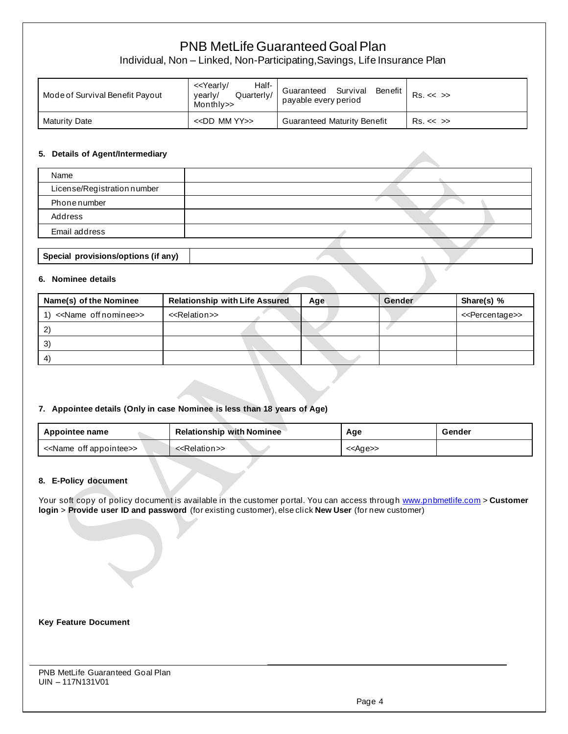Individual, Non – Linked, Non-Participating,Savings, Life Insurance Plan

| Mode of Survival Benefit Payout | Half-<br>< <yearly <br="">Quarterly/<br/>vearly/<br/>Monthly&gt;&gt;</yearly> | Survival<br>Benefit<br>Guaranteed<br>payable every period | $Rs. \ll \gg$ |
|---------------------------------|-------------------------------------------------------------------------------|-----------------------------------------------------------|---------------|
| Maturity Date                   | $<<$ DD MM YY $>>$                                                            | <b>Guaranteed Maturity Benefit</b>                        | $Rs. \ll \gg$ |

### **5. Details of Agent/Intermediary**

| Name                        |  |
|-----------------------------|--|
| License/Registration number |  |
| Phonenumber                 |  |
| Address                     |  |
| Email address               |  |
|                             |  |

# **Special provisions/options (if any)**

#### **6. Nominee details**

| Name(s) of the Nominee                       | <b>Relationship with Life Assured</b> | Age | Gender | Share(s) %                      |
|----------------------------------------------|---------------------------------------|-----|--------|---------------------------------|
| < <name nominee="" off="">&gt;<br/>1)</name> | < <relation>&gt;</relation>           |     |        | < <percentage>&gt;</percentage> |
|                                              |                                       |     |        |                                 |
| 3)                                           |                                       |     |        |                                 |
| $\mathbf{A}$                                 |                                       |     |        |                                 |

### **7. Appointee details (Only in case Nominee is less than 18 years of Age)**

| <b>Relationship with Nominee</b><br>Appointee name |                             | Age               | Gender |
|----------------------------------------------------|-----------------------------|-------------------|--------|
| < <name appointee="" off="">&gt;</name>            | < <relation>&gt;</relation> | < <age>&gt;</age> |        |

### **8. E-Policy document**

Your soft copy of policy document is available in the customer portal. You can access throug[h www.pnbmetlife.com](http://www.pnbmetlife.com/) > Customer **login** > **Provide user ID and password** (for existing customer), else click **New User** (for new customer)

### **Key Feature Document**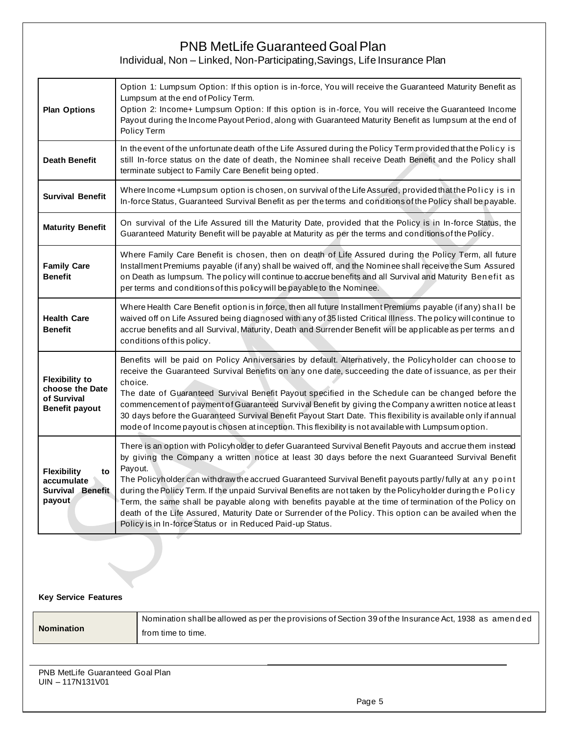# PNB MetLife Guaranteed Goal Plan Individual, Non – Linked, Non-Participating,Savings, Life Insurance Plan

| <b>Plan Options</b>                                                              | Option 1: Lumpsum Option: If this option is in-force, You will receive the Guaranteed Maturity Benefit as<br>Lumpsum at the end of Policy Term.<br>Option 2: Income+ Lumpsum Option: If this option is in-force, You will receive the Guaranteed Income<br>Payout during the Income Payout Period, along with Guaranteed Maturity Benefit as lumpsum at the end of<br>Policy Term                                                                                                                                                                                                                                                                                                                                                          |
|----------------------------------------------------------------------------------|--------------------------------------------------------------------------------------------------------------------------------------------------------------------------------------------------------------------------------------------------------------------------------------------------------------------------------------------------------------------------------------------------------------------------------------------------------------------------------------------------------------------------------------------------------------------------------------------------------------------------------------------------------------------------------------------------------------------------------------------|
| <b>Death Benefit</b>                                                             | In the event of the unfortunate death of the Life Assured during the Policy Term provided that the Policy is<br>still In-force status on the date of death, the Nominee shall receive Death Benefit and the Policy shall<br>terminate subject to Family Care Benefit being opted.                                                                                                                                                                                                                                                                                                                                                                                                                                                          |
| <b>Survival Benefit</b>                                                          | Where Income +Lumpsum option is chosen, on survival of the Life Assured, provided that the Policy is in<br>In-force Status, Guaranteed Survival Benefit as per the terms and conditions of the Policy shall be payable.                                                                                                                                                                                                                                                                                                                                                                                                                                                                                                                    |
| <b>Maturity Benefit</b>                                                          | On survival of the Life Assured till the Maturity Date, provided that the Policy is in In-force Status, the<br>Guaranteed Maturity Benefit will be payable at Maturity as per the terms and conditions of the Policy.                                                                                                                                                                                                                                                                                                                                                                                                                                                                                                                      |
| <b>Family Care</b><br><b>Benefit</b>                                             | Where Family Care Benefit is chosen, then on death of Life Assured during the Policy Term, all future<br>Installment Premiums payable (if any) shall be waived off, and the Nominee shall receive the Sum Assured<br>on Death as lumpsum. The policy will continue to accrue benefits and all Survival and Maturity Benefit as<br>per terms and conditions of this policy will be payable to the Nominee.                                                                                                                                                                                                                                                                                                                                  |
| <b>Health Care</b><br><b>Benefit</b>                                             | Where Health Care Benefit option is in force, then all future Installment Premiums payable (if any) shall be<br>waived off on Life Assured being diagnosed with any of 35 listed Critical Illness. The policy will continue to<br>accrue benefits and all Survival, Maturity, Death and Surrender Benefit will be applicable as per terms and<br>conditions of this policy.                                                                                                                                                                                                                                                                                                                                                                |
| <b>Flexibility to</b><br>choose the Date<br>of Survival<br><b>Benefit payout</b> | Benefits will be paid on Policy Anniversaries by default. Alternatively, the Policyholder can choose to<br>receive the Guaranteed Survival Benefits on any one date, succeeding the date of issuance, as per their<br>choice.<br>The date of Guaranteed Survival Benefit Payout specified in the Schedule can be changed before the<br>commencement of payment of Guaranteed Survival Benefit by giving the Company a written notice at least<br>30 days before the Guaranteed Survival Benefit Payout Start Date. This flexibility is available only if annual<br>mode of Income payout is chosen at inception. This flexibility is not available with Lumpsum option.                                                                    |
| <b>Flexibility</b><br>to<br>accumulate<br><b>Survival Benefit</b><br>payout      | There is an option with Policyholder to defer Guaranteed Survival Benefit Payouts and accrue them instead<br>by giving the Company a written notice at least 30 days before the next Guaranteed Survival Benefit<br>Payout.<br>The Policyholder can withdraw the accrued Guaranteed Survival Benefit payouts partly/fully at any point<br>during the Policy Term. If the unpaid Survival Benefits are not taken by the Policyholder during the Policy<br>Term, the same shall be payable along with benefits payable at the time of termination of the Policy on<br>death of the Life Assured, Maturity Date or Surrender of the Policy. This option can be availed when the<br>Policy is in In-force Status or in Reduced Paid-up Status. |

### **Key Service Features**

| <b>Nomination</b> | Nomination shallbe allowed as per the provisions of Section 39 of the Insurance Act, 1938 as amended ' |
|-------------------|--------------------------------------------------------------------------------------------------------|
|                   | from time to time.                                                                                     |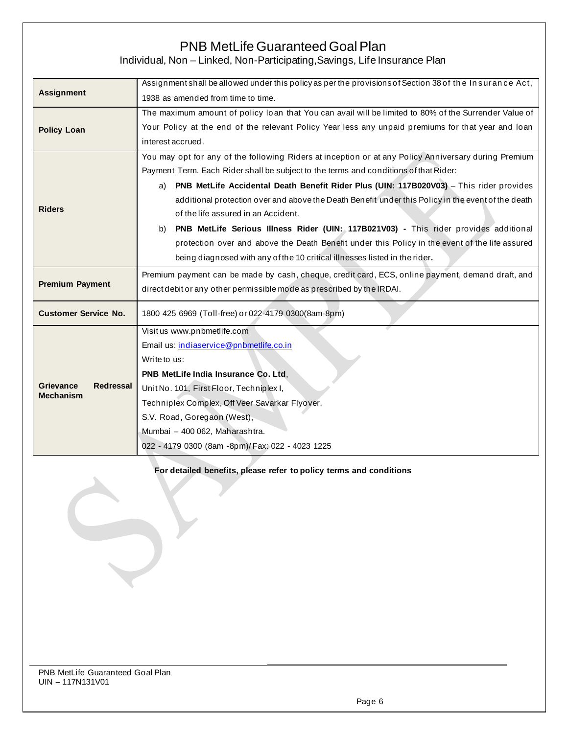# PNB MetLife Guaranteed Goal Plan Individual, Non – Linked, Non-Participating,Savings, Life Insurance Plan

**Assignment** Assignment shall be allowed under this policy as per the provisions of Section 38 of th e In suran ce Act, 1938 as amended from time to time. **Policy Loan** The maximum amount of policy loan that You can avail will be limited to 80% of the Surrender Value of Your Policy at the end of the relevant Policy Year less any unpaid premiums for that year and loan interest accrued. **Riders** You may opt for any of the following Riders at inception or at any Policy Anniversary during Premium Payment Term. Each Rider shall be subject to the terms and conditions of that Rider: a) **PNB MetLife Accidental Death Benefit Rider Plus (UIN: 117B020V03)** – This rider provides additional protection over and above the Death Benefit under this Policy in the event of the death of the life assured in an Accident. b) **PNB MetLife Serious Illness Rider (UIN: 117B021V03) -** This rider provides additional protection over and above the Death Benefit under this Policy in the event of the life assured being diagnosed with any of the 10 critical illnesses listed in the rider**. Premium Payment** Premium payment can be made by cash, cheque, credit card, ECS, online payment, demand draft, and direct debit or any other permissible mode as prescribed by the IRDAI. **Customer Service No.** 1800 425 6969 (Toll-free) or 022-4179 0300(8am-8pm) **Grievance Redressal Mechanism** Visit us [www.pnbmetlife.com](http://www.pnbmetlife.com/) Email us: [indiaservice@pnbmetlife.co.in](mailto:indiaservice@pnbmetlife.co.in) Write to us: **PNB MetLife India Insurance Co. Ltd**, Unit No. 101, First Floor, Techniplex I, Techniplex Complex, Off Veer Savarkar Flyover, S.V. Road, Goregaon (West), Mumbai – 400 062, Maharashtra. 022 - 4179 0300 (8am -8pm)/ Fax: 022 - 4023 1225

**For detailed benefits, please refer to policy terms and conditions**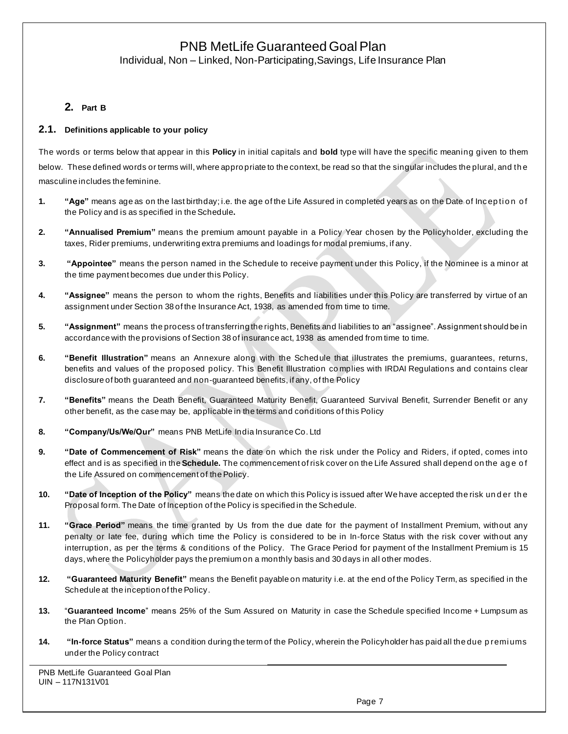Individual, Non – Linked, Non-Participating,Savings, Life Insurance Plan

## **2. Part B**

### **2.1. Definitions applicable to your policy**

The words or terms below that appear in this **Policy** in initial capitals and **bold** type will have the specific meaning given to them below. These defined words or terms will, where appro priate to the context, be read so that the singular includes the plural, and th e masculine includes the feminine.

- **1. "Age"** means age as on the last birthday; i.e. the age of the Life Assured in completed years as on the Date of Inception of the Policy and is as specified in the Schedule**.**
- **2. "Annualised Premium"** means the premium amount payable in a Policy Year chosen by the Policyholder, excluding the taxes, Rider premiums, underwriting extra premiums and loadings for modal premiums, if any.
- **3. "Appointee"** means the person named in the Schedule to receive payment under this Policy, if the Nominee is a minor at the time payment becomes due under this Policy.
- **4. "Assignee"** means the person to whom the rights, Benefits and liabilities under this Policy are transferred by virtue of an assignment under Section 38 of the Insurance Act, 1938, as amended from time to time.
- **5. "Assignment"** means the process of transferring the rights, Benefits and liabilities to an "assignee". Assignment should be in accordance with the provisions of Section 38 of insurance act, 1938 as amended from time to time.
- **6. "Benefit Illustration"** means an Annexure along with the Schedule that illustrates the premiums, guarantees, returns, benefits and values of the proposed policy. This Benefit Illustration co mplies with IRDAI Regulations and contains clear disclosure of both guaranteed and non-guaranteed benefits, if any, of the Policy
- **7. "Benefits"** means the Death Benefit, Guaranteed Maturity Benefit, Guaranteed Survival Benefit, Surrender Benefit or any other benefit, as the case may be, applicable in the terms and conditions of this Policy
- **8. "Company/Us/We/Our"** means PNB MetLife India Insurance Co. Ltd
- **9. "Date of Commencement of Risk"** means the date on which the risk under the Policy and Riders, if opted, comes into effect and is as specified in the **Schedule**. The commencement of risk cover on the Life Assured shall depend on the age of the Life Assured on commencement of the Policy.
- **10. "Date of Inception of the Policy**" means the date on which this Policy is issued after We have accepted the risk under the Proposal form. The Date of Inception of the Policy is specified in the Schedule.
- **11. "Grace Period"** means the time granted by Us from the due date for the payment of Installment Premium, without any penalty or late fee, during which time the Policy is considered to be in In-force Status with the risk cover without any interruption, as per the terms & conditions of the Policy. The Grace Period for payment of the Installment Premium is 15 days, where the Policyholder pays the premium on a monthly basis and 30 days in all other modes.
- **12. "Guaranteed Maturity Benefit"** means the Benefit payable on maturity i.e. at the end of the Policy Term, as specified in the Schedule at the inception of the Policy.
- **13.** "**Guaranteed Income**" means 25% of the Sum Assured on Maturity in case the Schedule specified Income + Lumpsum as the Plan Option.
- **14. "In-force Status"** means a condition during the term of the Policy, wherein the Policyholder has paid all the due p remiums under the Policy contract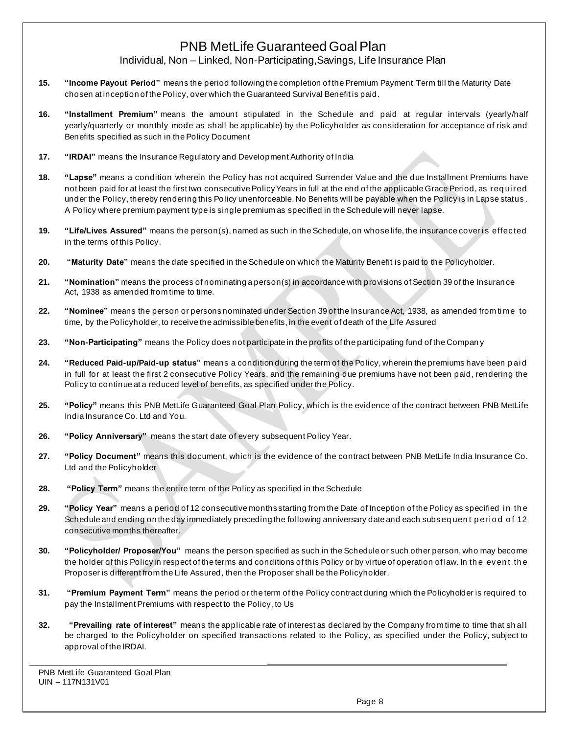# PNB MetLife Guaranteed Goal Plan Individual, Non – Linked, Non-Participating,Savings, Life Insurance Plan

- **15. "Income Payout Period"** means the period following the completion of the Premium Payment Term till the Maturity Date chosen at inception of the Policy, over which the Guaranteed Survival Benefit is paid.
- **16. "Installment Premium"** means the amount stipulated in the Schedule and paid at regular intervals (yearly/half yearly/quarterly or monthly mode as shall be applicable) by the Policyholder as consideration for acceptance of risk and Benefits specified as such in the Policy Document
- **17. "IRDAI"** means the Insurance Regulatory and Development Authority of India
- **18. "Lapse"** means a condition wherein the Policy has not acquired Surrender Value and the due Installment Premiums have not been paid for at least the first two consecutive Policy Years in full at the end of the applicable Grace Period, as req ui red under the Policy, thereby rendering this Policy unenforceable. No Benefits will be payable when the Policy is in Lapse status . A Policy where premium payment type is single premium as specified in the Schedule will never lapse.
- **19. "Life/Lives Assured"** means the person(s), named as such in the Schedule, on whose life, the insurance cover is effected in the terms of this Policy.
- **20. "Maturity Date"** means the date specified in the Schedule on which the Maturity Benefit is paid to the Policyholder.
- **21. "Nomination"** means the process of nominating a person(s) in accordance with provisions of Section 39 of the Insurance Act, 1938 as amended from time to time.
- **22. "Nominee"** means the person or persons nominated under Section 39 of the Insurance Act, 1938, as amended from time to time, by the Policyholder, to receive the admissible benefits, in the event of death of the Life Assured
- **23. "Non-Participating"** means the Policy does not participate in the profits of the participating fund of the Compan y
- **24. "Reduced Paid-up/Paid-up status"** means a condition during the term of the Policy, wherein the premiums have been p ai d in full for at least the first 2 consecutive Policy Years, and the remaining due premiums have not been paid, rendering the Policy to continue at a reduced level of benefits, as specified under the Policy.
- **25. "Policy"** means this PNB MetLife Guaranteed Goal Plan Policy, which is the evidence of the contract between PNB MetLife India Insurance Co. Ltd and You.
- **26. "Policy Anniversary"** means the start date of every subsequent Policy Year.
- **27. "Policy Document"** means this document, which is the evidence of the contract between PNB MetLife India Insurance Co. Ltd and the Policyholder
- **28. "Policy Term"** means the entire term of the Policy as specified in the Schedule
- **29. "Policy Year"** means a period of 12 consecutive months starting from the Date of Inception of the Policy as specified in the Schedule and ending on the day immediately preceding the following anniversary date and each subsequent period of 12 consecutive months thereafter.
- **30. "Policyholder/ Proposer/You"** means the person specified as such in the Schedule or such other person, who may become the holder of this Policy in respect of the terms and conditions of this Policy or by virtue of operation of law. In th e even t th e Proposer is different from the Life Assured, then the Proposer shall be the Policyholder.
- **31. "Premium Payment Term"** means the period or the term of the Policy contract during which the Policyholder is required to pay the Installment Premiums with respect to the Policy, to Us
- **32. "Prevailing rate of interest"** means the applicable rate of interest as declared by the Company from time to time that sh al l be charged to the Policyholder on specified transactions related to the Policy, as specified under the Policy, subject to approval of the IRDAI.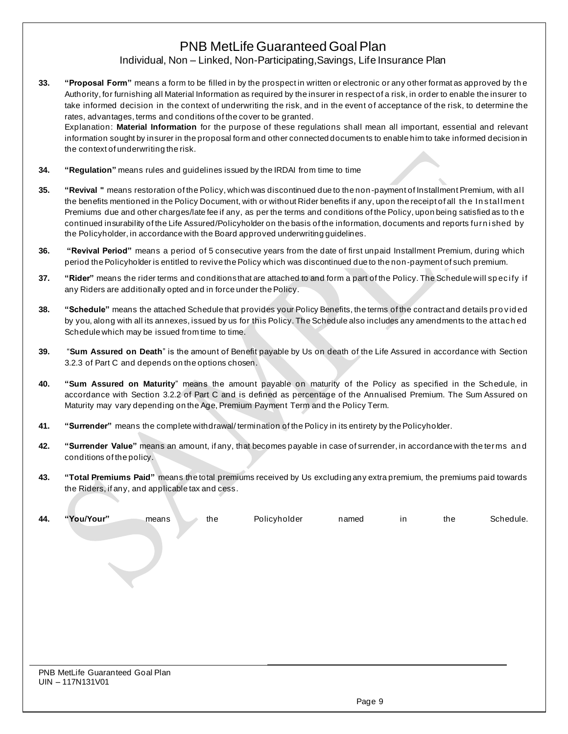# PNB MetLife Guaranteed Goal Plan Individual, Non – Linked, Non-Participating,Savings, Life Insurance Plan

**33. "Proposal Form"** means a form to be filled in by the prospect in written or electronic or any other format as approved by th e Authority, for furnishing all Material Information as required by the insurer in respect of a risk, in order to enable the insurer to take informed decision in the context of underwriting the risk, and in the event of acceptance of the risk, to determine the rates, advantages, terms and conditions of the cover to be granted.

Explanation: **Material Information** for the purpose of these regulations shall mean all important, essential and relevant information sought by insurer in the proposal form and other connected documen ts to enable him to take informed decision in the context of underwriting the risk.

- **34. "Regulation"** means rules and guidelines issued by the IRDAI from time to time
- **35. "Revival "** means restoration of the Policy, which was discontinued due to the non-payment of Installment Premium, with al l the benefits mentioned in the Policy Document, with or without Rider benefits if any, upon the receipt of all the Install ment Premiums due and other charges/late fee if any, as per the terms and conditions of the Policy, upon being satisfied as to th e continued insurability of the Life Assured/Policyholder on the basis of the information, documents and reports furn i shed by the Policyholder, in accordance with the Board approved underwriting guidelines.
- **36. "Revival Period"** means a period of 5 consecutive years from the date of first unpaid Installment Premium, during which period the Policyholder is entitled to revive the Policy which was discontinued due to the non-payment of such premium.
- **37. "Rider"** means the rider terms and conditions that are attached to and form a part of the Policy. The Schedule will specify if any Riders are additionally opted and in force under the Policy.
- **38. "Schedule"** means the attached Schedule that provides your Policy Benefits, the terms of the contract and details pro vid ed by you, along with all its annexes, issued by us for this Policy. The Schedule also includes any amendments to the attach ed Schedule which may be issued from time to time.
- **39.** "**Sum Assured on Death**" is the amount of Benefit payable by Us on death of the Life Assured in accordance with Section 3.2.3 of Part C and depends on the options chosen.
- **40. "Sum Assured on Maturity**" means the amount payable on maturity of the Policy as specified in the Schedule, in accordance with Section 3.2.2 of Part C and is defined as percentage of the Annualised Premium. The Sum Assured on Maturity may vary depending on the Age, Premium Payment Term and the Policy Term.
- **41. "Surrender"** means the complete withdrawal/ termination of the Policy in its entirety by the Policyholder.
- **42. "Surrender Value"** means an amount, if any, that becomes payable in case of surrender, in accordance with the terms an d conditions of the policy.
- **43. "Total Premiums Paid"** means the total premiums received by Us excluding any extra premium, the premiums paid towards the Riders, if any, and applicable tax and cess.

| 44. | "You/Your"                       | the<br>means | Policyholder | named | in | the | Schedule. |
|-----|----------------------------------|--------------|--------------|-------|----|-----|-----------|
|     |                                  |              |              |       |    |     |           |
|     |                                  |              |              |       |    |     |           |
|     |                                  |              |              |       |    |     |           |
|     |                                  |              |              |       |    |     |           |
|     |                                  |              |              |       |    |     |           |
|     |                                  |              |              |       |    |     |           |
|     |                                  |              |              |       |    |     |           |
|     |                                  |              |              |       |    |     |           |
|     | PNB MetLife Guaranteed Goal Plan |              |              |       |    |     |           |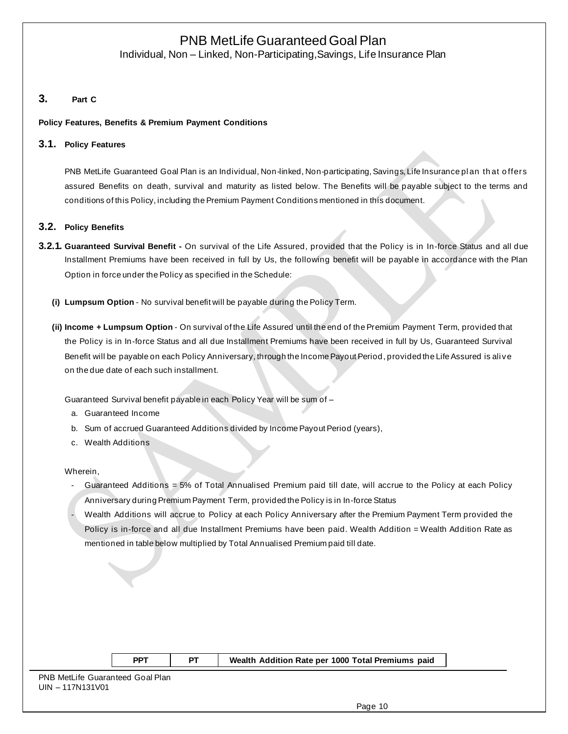Individual, Non – Linked, Non-Participating,Savings, Life Insurance Plan

## **3. Part C**

#### **Policy Features, Benefits & Premium Payment Conditions**

#### **3.1. Policy Features**

PNB MetLife Guaranteed Goal Plan is an Individual, Non-linked, Non-participating, Savings, Life Insurance plan that offers assured Benefits on death, survival and maturity as listed below. The Benefits will be payable subject to the terms and conditions of this Policy, including the Premium Payment Conditions mentioned in this document.

#### **3.2. Policy Benefits**

- **3.2.1. Guaranteed Survival Benefit -** On survival of the Life Assured, provided that the Policy is in In-force Status and all due Installment Premiums have been received in full by Us, the following benefit will be payable in accordance with the Plan Option in force under the Policy as specified in the Schedule:
	- **(i) Lumpsum Option** No survival benefit will be payable during the Policy Term.
	- **(ii) Income + Lumpsum Option** On survival of the Life Assured until the end of the Premium Payment Term, provided that the Policy is in In-force Status and all due Installment Premiums have been received in full by Us, Guaranteed Survival Benefit will be payable on each Policy Anniversary, through the Income Payout Period, provided the Life Assured is ali ve on the due date of each such installment.

Guaranteed Survival benefit payable in each Policy Year will be sum of –

- a. Guaranteed Income
- b. Sum of accrued Guaranteed Additions divided by Income Payout Period (years),
- c. Wealth Additions

Wherein,

- Guaranteed Additions = 5% of Total Annualised Premium paid till date, will accrue to the Policy at each Policy Anniversary during Premium Payment Term, provided the Policy is in In-force Status
- Wealth Additions will accrue to Policy at each Policy Anniversary after the Premium Payment Term provided the Policy is in-force and all due Installment Premiums have been paid. Wealth Addition = Wealth Addition Rate as mentioned in table below multiplied by Total Annualised Premium paid till date.

|  | Addition Rate per 1000 Total Premiums paid |  |
|--|--------------------------------------------|--|
|  |                                            |  |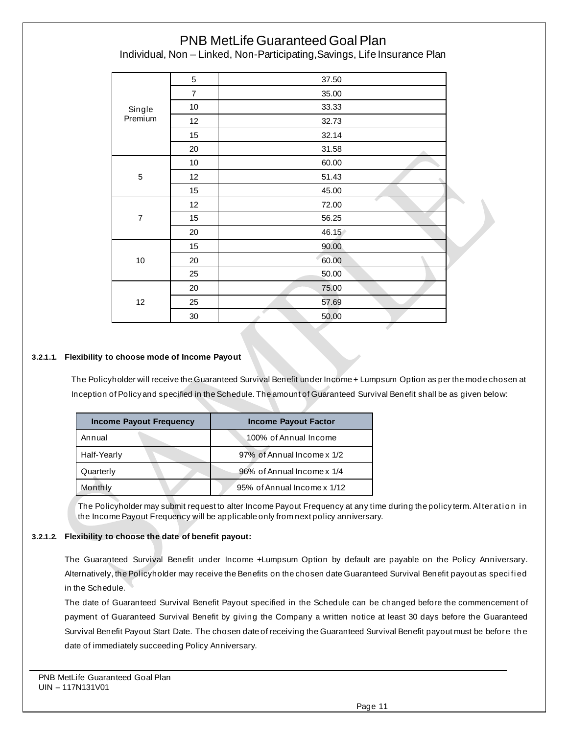Individual, Non – Linked, Non-Participating,Savings, Life Insurance Plan

|                | 5              | 37.50 |
|----------------|----------------|-------|
|                | $\overline{7}$ | 35.00 |
| Single         | 10             | 33.33 |
| Premium        | 12             | 32.73 |
|                | 15             | 32.14 |
|                | 20             | 31.58 |
|                | 10             | 60.00 |
| $\mathbf 5$    | 12             | 51.43 |
|                | 15             | 45.00 |
|                | 12             | 72.00 |
| $\overline{7}$ | 15             | 56.25 |
|                | 20             | 46.15 |
|                | 15             | 90.00 |
| $10$           | 20             | 60.00 |
|                | 25             | 50.00 |
|                | 20             | 75.00 |
| 12             | 25             | 57.69 |
|                | 30             | 50.00 |

### **3.2.1.1. Flexibility to choose mode of Income Payout**

The Policyholder will receive the Guaranteed Survival Benefit under Income + Lumpsum Option as per the mode chosen at Inception of Policy and specified in the Schedule. The amount of Guaranteed Survival Benefit shall be as given below:

| Income Payout Frequency | <b>Income Payout Factor</b> |
|-------------------------|-----------------------------|
| Annual                  | 100% of Annual Income       |
| Half-Yearly             | 97% of Annual Income x 1/2  |
| Quarterly               | 96% of Annual Income x 1/4  |
| Monthly                 | 95% of Annual Income x 1/12 |

The Policyholder may submit request to alter Income Payout Frequency at any time during the policy term. Alteration in the Income Payout Frequency will be applicable only from next policy anniversary.

### **3.2.1.2. Flexibility to choose the date of benefit payout:**

The Guaranteed Survival Benefit under Income +Lumpsum Option by default are payable on the Policy Anniversary. Alternatively, the Policyholder may receive the Benefits on the chosen date Guaranteed Survival Benefit payout as specified in the Schedule.

The date of Guaranteed Survival Benefit Payout specified in the Schedule can be changed before the commencement of payment of Guaranteed Survival Benefit by giving the Company a written notice at least 30 days before the Guaranteed Survival Benefit Payout Start Date. The chosen date of receiving the Guaranteed Survival Benefit payout must be before th e date of immediately succeeding Policy Anniversary.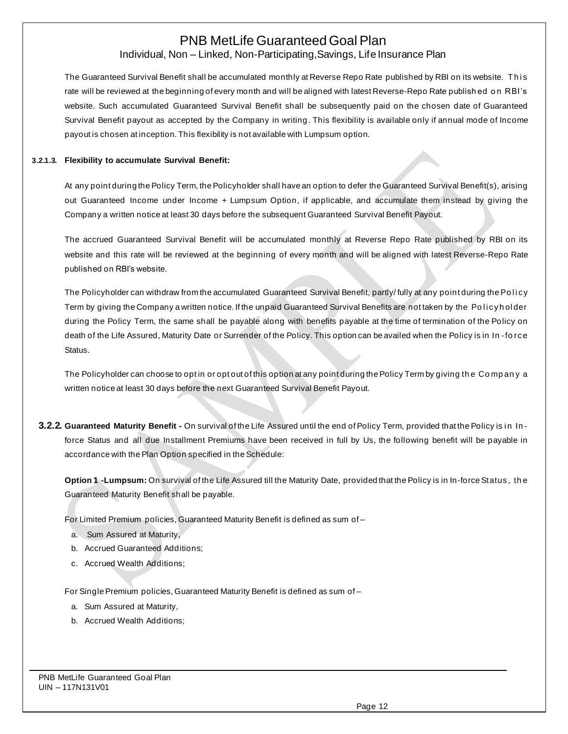# Individual, Non – Linked, Non-Participating,Savings, Life Insurance Plan

The Guaranteed Survival Benefit shall be accumulated monthly at Reverse Repo Rate published by RBI on its website. This rate will be reviewed at the beginning of every month and will be aligned with latest Reverse-Repo Rate publish ed o n RBI's website. Such accumulated Guaranteed Survival Benefit shall be subsequently paid on the chosen date of Guaranteed Survival Benefit payout as accepted by the Company in writing. This flexibility is available only if annual mode of Income payout is chosen at inception. This flexibility is not available with Lumpsum option.

#### **3.2.1.3. Flexibility to accumulate Survival Benefit:**

At any point during the Policy Term, the Policyholder shall have an option to defer the Guaranteed Survival Benefit(s), arising out Guaranteed Income under Income + Lumpsum Option, if applicable, and accumulate them instead by giving the Company a written notice at least 30 days before the subsequent Guaranteed Survival Benefit Payout.

The accrued Guaranteed Survival Benefit will be accumulated monthly at Reverse Repo Rate published by RBI on its website and this rate will be reviewed at the beginning of every month and will be aligned with latest Reverse-Repo Rate published on RBI's website.

The Policyholder can withdraw from the accumulated Guaranteed Survival Benefit, partly/ fully at any point during the Policy Term by giving the Company a written notice. If the unpaid Guaranteed Survival Benefits are not taken by the Policyholder during the Policy Term, the same shall be payable along with benefits payable at the time of termination of the Policy on death of the Life Assured, Maturity Date or Surrender of the Policy. This option can be availed when the Policy is in In -fo rce Status.

The Policyholder can choose to opt in or opt out of this option at any point during the Policy Term by giving the Company a written notice at least 30 days before the next Guaranteed Survival Benefit Payout.

**3.2.2. Guaranteed Maturity Benefit -** On survival of the Life Assured until the end of Policy Term, provided that the Policy is i n In force Status and all due Installment Premiums have been received in full by Us, the following benefit will be payable in accordance with the Plan Option specified in the Schedule:

**Option 1 -Lumpsum:** On survival of the Life Assured till the Maturity Date, provided that the Policy is in In-force Status, th e Guaranteed Maturity Benefit shall be payable.

For Limited Premium policies, Guaranteed Maturity Benefit is defined as sum of –

- a. Sum Assured at Maturity,
- b. Accrued Guaranteed Additions;
- c. Accrued Wealth Additions;

For Single Premium policies, Guaranteed Maturity Benefit is defined as sum of –

- a. Sum Assured at Maturity,
- b. Accrued Wealth Additions;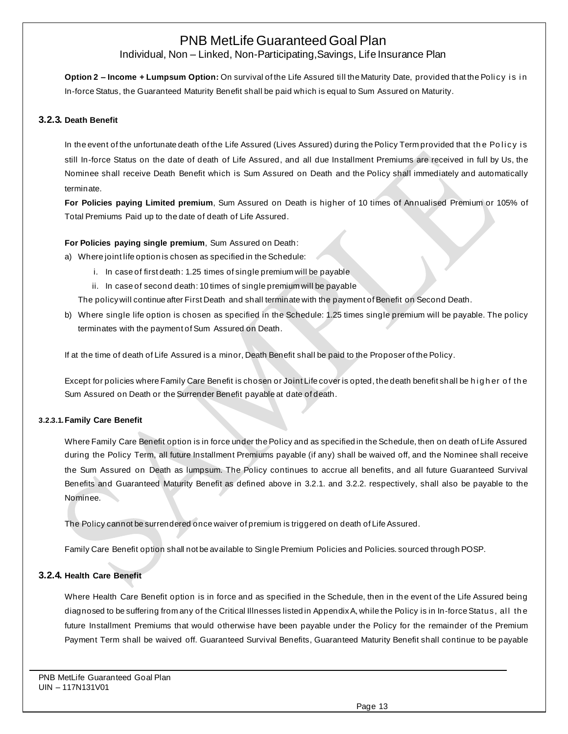Individual, Non – Linked, Non-Participating,Savings, Life Insurance Plan

**Option 2 – Income + Lumpsum Option:** On survival of the Life Assured till the Maturity Date, provided that the Poli cy i s i n In-force Status, the Guaranteed Maturity Benefit shall be paid which is equal to Sum Assured on Maturity.

### **3.2.3. Death Benefit**

In the event of the unfortunate death of the Life Assured (Lives Assured) during the Policy Term provided that the Policy is still In-force Status on the date of death of Life Assured, and all due Installment Premiums are received in full by Us, the Nominee shall receive Death Benefit which is Sum Assured on Death and the Policy shall immediately and automatically terminate.

**For Policies paying Limited premium**, Sum Assured on Death is higher of 10 times of Annualised Premium or 105% of Total Premiums Paid up to the date of death of Life Assured.

**For Policies paying single premium**, Sum Assured on Death:

- a) Where joint life option is chosen as specified in the Schedule:
	- i. In case of first death: 1.25 times of single premium will be payable
	- ii. In case of second death: 10 times of single premium will be payable

The policy will continue after First Death and shall terminate with the payment of Benefit on Second Death.

b) Where single life option is chosen as specified in the Schedule: 1.25 times single premium will be payable. The policy terminates with the payment of Sum Assured on Death.

If at the time of death of Life Assured is a minor, Death Benefit shall be paid to the Proposer of the Policy.

Except for policies where Family Care Benefit is chosen or Joint Life cover is opted, the death benefit shall be higher of the Sum Assured on Death or the Surrender Benefit payable at date of death.

### **3.2.3.1.Family Care Benefit**

Where Family Care Benefit option is in force under the Policy and as specified in the Schedule, then on death of Life Assured during the Policy Term, all future Installment Premiums payable (if any) shall be waived off, and the Nominee shall receive the Sum Assured on Death as lumpsum. The Policy continues to accrue all benefits, and all future Guaranteed Survival Benefits and Guaranteed Maturity Benefit as defined above in 3.2.1. and 3.2.2. respectively, shall also be payable to the Nominee.

The Policy cannot be surrendered once waiver of premium is triggered on death of Life Assured.

Family Care Benefit option shall not be available to Single Premium Policies and Policies. sourced through POSP.

## **3.2.4. Health Care Benefit**

Where Health Care Benefit option is in force and as specified in the Schedule, then in the event of the Life Assured being diagnosed to be suffering from any of the Critical Illnesses listed in Appendix A, while the Policy is in In-force Status, all the future Installment Premiums that would otherwise have been payable under the Policy for the remainder of the Premium Payment Term shall be waived off. Guaranteed Survival Benefits, Guaranteed Maturity Benefit shall continue to be payable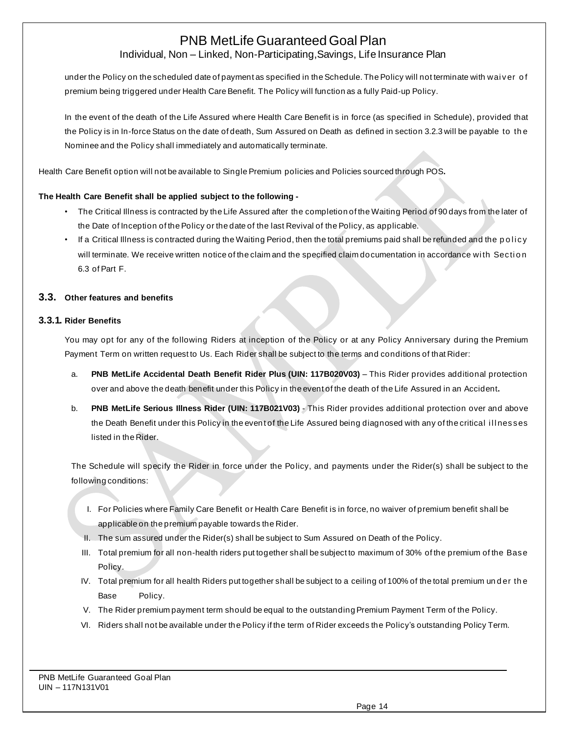Individual, Non – Linked, Non-Participating,Savings, Life Insurance Plan

under the Policy on the scheduled date of payment as specified in the Schedule. The Policy will not terminate with wai ver o f premium being triggered under Health Care Benefit. The Policy will function as a fully Paid-up Policy.

In the event of the death of the Life Assured where Health Care Benefit is in force (as specified in Schedule), provided that the Policy is in In-force Status on the date of death, Sum Assured on Death as defined in section 3.2.3 will be payable to th e Nominee and the Policy shall immediately and automatically terminate.

Health Care Benefit option will not be available to Single Premium policies and Policies sourced through POS**.** 

### **The Health Care Benefit shall be applied subject to the following -**

- The Critical Illness is contracted by the Life Assured after the completion of the Waiting Period of 90 days from the later of the Date of Inception of the Policy or the date of the last Revival of the Policy, as applicable.
- If a Critical Illness is contracted during the Waiting Period, then the total premiums paid shall be refunded and the policy will terminate. We receive written notice of the claim and the specified claim documentation in accordance with Section 6.3 of Part F.

### **3.3. Other features and benefits**

### **3.3.1. Rider Benefits**

You may opt for any of the following Riders at inception of the Policy or at any Policy Anniversary during the Premium Payment Term on written request to Us. Each Rider shall be subject to the terms and conditions of that Rider:

- a. **PNB MetLife Accidental Death Benefit Rider Plus (UIN: 117B020V03)** This Rider provides additional protection over and above the death benefit under this Policy in the event of the death of the Life Assured in an Accident**.**
- b. **PNB MetLife Serious Illness Rider (UIN: 117B021V03)** This Rider provides additional protection over and above the Death Benefit under this Policy in the event of the Life Assured being diagnosed with any of the critical illnesses listed in the Rider.

The Schedule will specify the Rider in force under the Policy, and payments under the Rider(s) shall be subject to the following conditions:

- I. For Policies where Family Care Benefit or Health Care Benefit is in force, no waiver of premium benefit shall be applicable on the premium payable towards the Rider.
- II. The sum assured under the Rider(s) shall be subject to Sum Assured on Death of the Policy.
- III. Total premium for all non-health riders put together shall be subject to maximum of 30% of the premium of the Base Policy.
- IV. Total premium for all health Riders put together shall be subject to a ceiling of 100% of the total premium under the Base Policy.
- V. The Rider premium payment term should be equal to the outstanding Premium Payment Term of the Policy.
- VI. Riders shall not be available under the Policy if the term of Rider exceeds the Policy's outstanding Policy Term.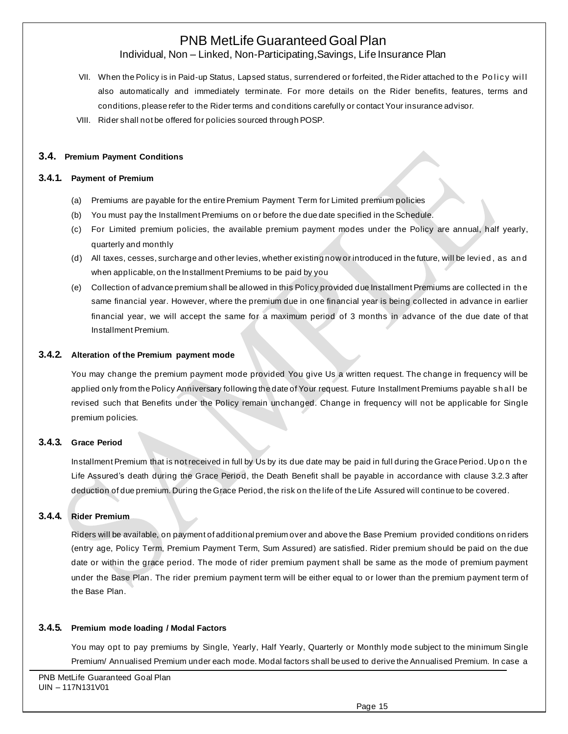Individual, Non – Linked, Non-Participating,Savings, Life Insurance Plan

- VII. When the Policy is in Paid-up Status, Lapsed status, surrendered or forfeited, the Rider attached to the Policy will also automatically and immediately terminate. For more details on the Rider benefits, features, terms and conditions, please refer to the Rider terms and conditions carefully or contact Your insurance advisor.
- VIII. Rider shall not be offered for policies sourced through POSP.

### **3.4. Premium Payment Conditions**

#### **3.4.1. Payment of Premium**

- (a) Premiums are payable for the entire Premium Payment Term for Limited premium policies
- (b) You must pay the Installment Premiums on or before the due date specified in the Schedule.
- (c) For Limited premium policies, the available premium payment modes under the Policy are annual, half yearly, quarterly and monthly
- (d) All taxes, cesses, surcharge and other levies, whether existing now or introduced in the future, will be levied, as and when applicable, on the Installment Premiums to be paid by you
- (e) Collection of advance premium shall be allowed in this Policy provided due Installment Premiums are collected in the same financial year. However, where the premium due in one financial year is being collected in advance in earlier financial year, we will accept the same for a maximum period of 3 months in advance of the due date of that Installment Premium.

#### **3.4.2. Alteration of the Premium payment mode**

You may change the premium payment mode provided You give Us a written request. The change in frequency will be applied only from the Policy Anniversary following the date of Your request. Future Installment Premiums payable shall be revised such that Benefits under the Policy remain unchanged. Change in frequency will not be applicable for Single premium policies.

### **3.4.3. Grace Period**

Installment Premium that is not received in full by Us by its due date may be paid in full during the Grace Period. Up on the Life Assured's death during the Grace Period, the Death Benefit shall be payable in accordance with clause 3.2.3 after deduction of due premium. During the Grace Period, the risk on the life of the Life Assured will continue to be covered.

### **3.4.4. Rider Premium**

Riders will be available, on payment of additional premium over and above the Base Premium provided conditions on riders (entry age, Policy Term, Premium Payment Term, Sum Assured) are satisfied. Rider premium should be paid on the due date or within the grace period. The mode of rider premium payment shall be same as the mode of premium payment under the Base Plan. The rider premium payment term will be either equal to or lower than the premium payment term of the Base Plan.

#### **3.4.5. Premium mode loading / Modal Factors**

You may opt to pay premiums by Single, Yearly, Half Yearly, Quarterly or Monthly mode subject to the minimum Single Premium/ Annualised Premium under each mode. Modal factors shall be used to derive the Annualised Premium. In case a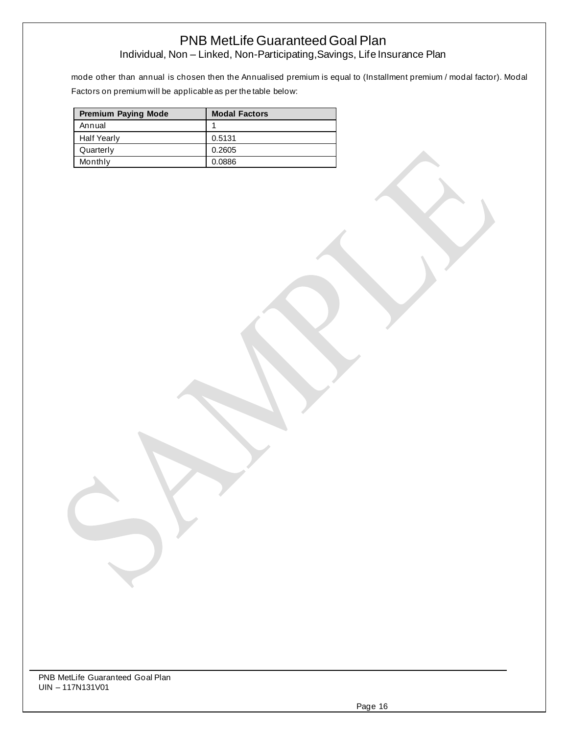Individual, Non – Linked, Non-Participating,Savings, Life Insurance Plan

mode other than annual is chosen then the Annualised premium is equal to (Installment premium / modal factor). Modal Factors on premium will be applicable as per the table below:

| <b>Premium Paying Mode</b> | <b>Modal Factors</b> |
|----------------------------|----------------------|
| Annual                     |                      |
| <b>Half Yearly</b>         | 0.5131               |
| Quarterly                  | 0.2605               |
| Monthly                    | 0.0886               |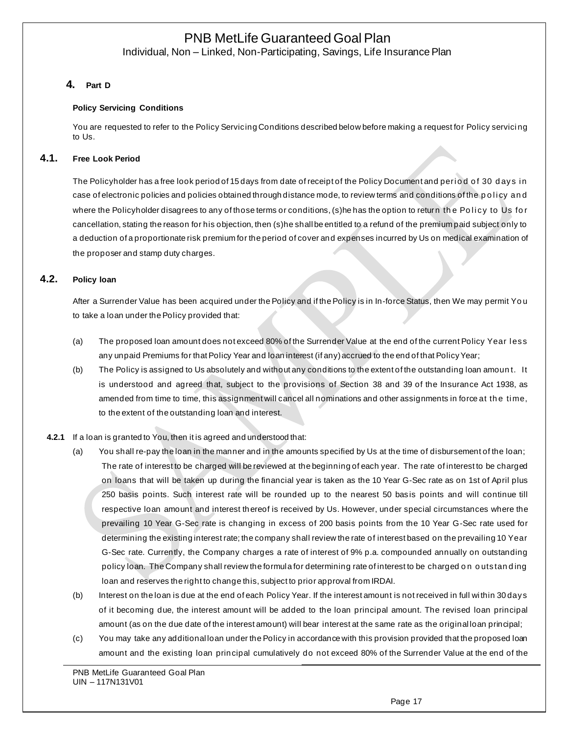Individual, Non – Linked, Non-Participating, Savings, Life Insurance Plan

## **4. Part D**

### **Policy Servicing Conditions**

You are requested to refer to the Policy Servicing Conditions described below before making a request for Policy servici ng to Us.

## **4.1. Free Look Period**

The Policyholder has a free look period of 15 days from date of receipt of the Policy Document and period of 30 days in case of electronic policies and policies obtained through distance mode, to review terms and conditions of the policy and where the Policyholder disagrees to any of those terms or conditions, (s)he has the option to return the Policy to Us for cancellation, stating the reason for his objection, then (s)he shall be entitled to a refund of the premium paid subject only to a deduction of a proportionate risk premium for the period of cover and expenses incurred by Us on medical examination of the proposer and stamp duty charges.

### **4.2. Policy loan**

After a Surrender Value has been acquired under the Policy and if the Policy is in In-force Status, then We may permit Yo u to take a loan under the Policy provided that:

- (a) The proposed loan amount does not exceed 80% of the Surrender Value at the end of the current Policy Year less any unpaid Premiums for that Policy Year and loan interest (if any) accrued to the end of that Policy Year;
- (b) The Policy is assigned to Us absolutely and without any conditions to the extent of the outstanding loan amoun t. It is understood and agreed that, subject to the provisions of Section 38 and 39 of the Insurance Act 1938, as amended from time to time, this assignment will cancel all nominations and other assignments in force at the time, to the extent of the outstanding loan and interest.

## **4.2.1** If a loan is granted to You, then it is agreed and understood that:

- (a) You shall re-pay the loan in the manner and in the amounts specified by Us at the time of disbursement of the loan; The rate of interest to be charged will be reviewed at the beginning of each year. The rate of interest to be charged on loans that will be taken up during the financial year is taken as the 10 Year G-Sec rate as on 1st of April plus 250 basis points. Such interest rate will be rounded up to the nearest 50 basis points and will continue till respective loan amount and interest thereof is received by Us. However, under special circumstances where the prevailing 10 Year G-Sec rate is changing in excess of 200 basis points from the 10 Year G-Sec rate used for determining the existing interest rate; the company shall review the rate of interest based on the prevailing 10 Year G-Sec rate. Currently, the Company charges a rate of interest of 9% p.a. compounded annually on outstanding policy loan. The Company shall review the formula for determining rate of interest to be charged on outstanding loan and reserves the right to change this, subject to prior approval from IRDAI.
- (b) Interest on the loan is due at the end of each Policy Year. If the interest amount is not received in full within 30 days of it becoming due, the interest amount will be added to the loan principal amount. The revised loan principal amount (as on the due date of the interest amount) will bear interest at the same rate as the original loan principal;
- (c) You may take any additional loan under the Policy in accordance with this provision provided that the proposed loan amount and the existing loan principal cumulatively do not exceed 80% of the Surrender Value at the end of the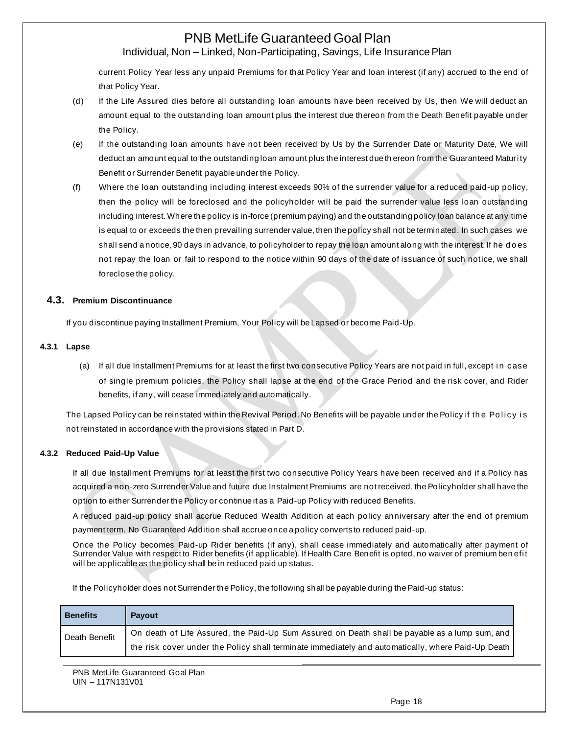# Individual, Non – Linked, Non-Participating, Savings, Life Insurance Plan

current Policy Year less any unpaid Premiums for that Policy Year and loan interest (if any) accrued to the end of that Policy Year.

- (d) If the Life Assured dies before all outstanding loan amounts have been received by Us, then We will deduct an amount equal to the outstanding loan amount plus the interest due thereon from the Death Benefit payable under the Policy.
- (e) If the outstanding loan amounts have not been received by Us by the Surrender Date or Maturity Date, We will deduct an amount equal to the outstanding loan amount plus the interest due th ereon from the Guaranteed Maturi ty Benefit or Surrender Benefit payable under the Policy.
- (f) Where the loan outstanding including interest exceeds 90% of the surrender value for a reduced paid-up policy, then the policy will be foreclosed and the policyholder will be paid the surrender value less loan outstanding including interest. Where the policy is in-force (premium paying) and the outstanding policy loan balance at any time is equal to or exceeds the then prevailing surrender value, then the policy shall not be terminated. In such cases we shall send a notice, 90 days in advance, to policyholder to repay the loan amount along with the interest. If he d o es not repay the loan or fail to respond to the notice within 90 days of the date of issuance of such notice, we shall foreclose the policy.

### **4.3. Premium Discontinuance**

If you discontinue paying Installment Premium, Your Policy will be Lapsed or become Paid-Up.

### **4.3.1 Lapse**

(a) If all due Installment Premiums for at least the first two consecutive Policy Years are not paid in full, except in case of single premium policies, the Policy shall lapse at the end of the Grace Period and the risk cover, and Rider benefits, if any, will cease immediately and automatically.

The Lapsed Policy can be reinstated within the Revival Period. No Benefits will be payable under the Policy if the Policy is not reinstated in accordance with the provisions stated in Part D.

### **4.3.2 Reduced Paid-Up Value**

If all due Installment Premiums for at least the first two consecutive Policy Years have been received and if a Policy has acquired a non-zero Surrender Value and future due Instalment Premiums are not received, the Policyholder shall have the option to either Surrender the Policy or continue it as a Paid-up Policy with reduced Benefits.

A reduced paid-up policy shall accrue Reduced Wealth Addition at each policy anniversary after the end of premium payment term. No Guaranteed Addition shall accrue once a policy converts to reduced paid-up.

Once the Policy becomes Paid-up Rider benefits (if any), shall cease immediately and automatically after payment of Surrender Value with respect to Rider benefits (if applicable). If Health Care Benefit is opted, no waiver of premium ben efi t will be applicable as the policy shall be in reduced paid up status.

If the Policyholder does not Surrender the Policy, the following shall be payable during the Paid-up status:

| <b>Benefits</b> | <b>Payout</b>                                                                                      |
|-----------------|----------------------------------------------------------------------------------------------------|
| Death Benefit   | On death of Life Assured, the Paid-Up Sum Assured on Death shall be payable as a lump sum, and     |
|                 | the risk cover under the Policy shall terminate immediately and automatically, where Paid-Up Death |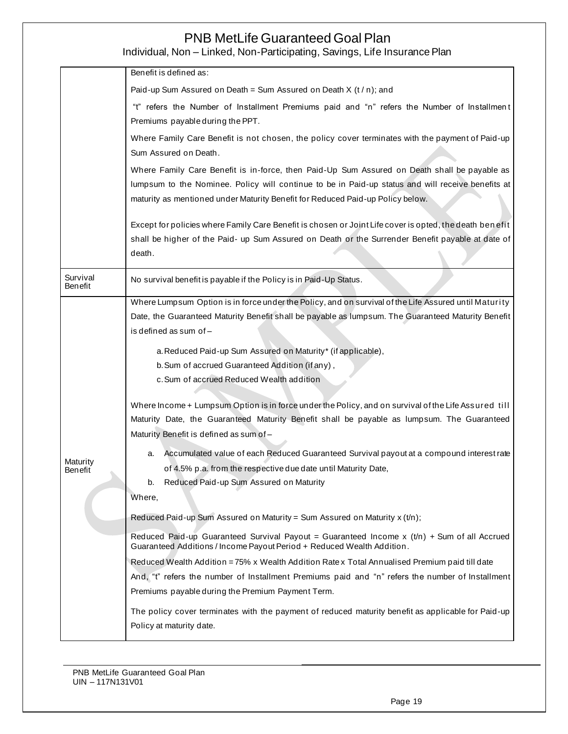Individual, Non – Linked, Non-Participating, Savings, Life Insurance Plan

|                            | Benefit is defined as:                                                                                                                                                                                                                                                                                                                                                                                                                                                                                                                                                                                                                                                                                                                                                                                                                                                                                                                                                                                                                                                                                                                                                                                                                                                                                                                                                                                                                                                                                                                    |  |  |  |  |  |
|----------------------------|-------------------------------------------------------------------------------------------------------------------------------------------------------------------------------------------------------------------------------------------------------------------------------------------------------------------------------------------------------------------------------------------------------------------------------------------------------------------------------------------------------------------------------------------------------------------------------------------------------------------------------------------------------------------------------------------------------------------------------------------------------------------------------------------------------------------------------------------------------------------------------------------------------------------------------------------------------------------------------------------------------------------------------------------------------------------------------------------------------------------------------------------------------------------------------------------------------------------------------------------------------------------------------------------------------------------------------------------------------------------------------------------------------------------------------------------------------------------------------------------------------------------------------------------|--|--|--|--|--|
|                            | Paid-up Sum Assured on Death = Sum Assured on Death $X(t/n)$ ; and                                                                                                                                                                                                                                                                                                                                                                                                                                                                                                                                                                                                                                                                                                                                                                                                                                                                                                                                                                                                                                                                                                                                                                                                                                                                                                                                                                                                                                                                        |  |  |  |  |  |
|                            | "t" refers the Number of Installment Premiums paid and "n" refers the Number of Installment<br>Premiums payable during the PPT.                                                                                                                                                                                                                                                                                                                                                                                                                                                                                                                                                                                                                                                                                                                                                                                                                                                                                                                                                                                                                                                                                                                                                                                                                                                                                                                                                                                                           |  |  |  |  |  |
|                            | Where Family Care Benefit is not chosen, the policy cover terminates with the payment of Paid-up<br>Sum Assured on Death.                                                                                                                                                                                                                                                                                                                                                                                                                                                                                                                                                                                                                                                                                                                                                                                                                                                                                                                                                                                                                                                                                                                                                                                                                                                                                                                                                                                                                 |  |  |  |  |  |
|                            | Where Family Care Benefit is in-force, then Paid-Up Sum Assured on Death shall be payable as<br>lumpsum to the Nominee. Policy will continue to be in Paid-up status and will receive benefits at<br>maturity as mentioned under Maturity Benefit for Reduced Paid-up Policy below.                                                                                                                                                                                                                                                                                                                                                                                                                                                                                                                                                                                                                                                                                                                                                                                                                                                                                                                                                                                                                                                                                                                                                                                                                                                       |  |  |  |  |  |
|                            | Except for policies where Family Care Benefit is chosen or Joint Life cover is opted, the death benefit<br>shall be higher of the Paid- up Sum Assured on Death or the Surrender Benefit payable at date of<br>death.                                                                                                                                                                                                                                                                                                                                                                                                                                                                                                                                                                                                                                                                                                                                                                                                                                                                                                                                                                                                                                                                                                                                                                                                                                                                                                                     |  |  |  |  |  |
| Survival<br>Benefit        | No survival benefit is payable if the Policy is in Paid-Up Status.                                                                                                                                                                                                                                                                                                                                                                                                                                                                                                                                                                                                                                                                                                                                                                                                                                                                                                                                                                                                                                                                                                                                                                                                                                                                                                                                                                                                                                                                        |  |  |  |  |  |
| Maturity<br><b>Benefit</b> | Where Lumpsum Option is in force under the Policy, and on survival of the Life Assured until Maturity<br>Date, the Guaranteed Maturity Benefit shall be payable as lumpsum. The Guaranteed Maturity Benefit<br>is defined as sum of-<br>a. Reduced Paid-up Sum Assured on Maturity* (if applicable),<br>b. Sum of accrued Guaranteed Addition (if any),<br>c. Sum of accrued Reduced Wealth addition<br>Where Income + Lumpsum Option is in force under the Policy, and on survival of the Life Assured till<br>Maturity Date, the Guaranteed Maturity Benefit shall be payable as lumpsum. The Guaranteed<br>Maturity Benefit is defined as sum of-<br>Accumulated value of each Reduced Guaranteed Survival payout at a compound interest rate<br>a.<br>of 4.5% p.a. from the respective due date until Maturity Date,<br>b.<br>Reduced Paid-up Sum Assured on Maturity<br>Where,<br>Reduced Paid-up Sum Assured on Maturity = Sum Assured on Maturity x (t/n);<br>Reduced Paid-up Guaranteed Survival Payout = Guaranteed Income x $(t/n)$ + Sum of all Accrued<br>Guaranteed Additions / Income Payout Period + Reduced Wealth Addition.<br>Reduced Wealth Addition = 75% x Wealth Addition Rate x Total Annualised Premium paid till date<br>And, "t" refers the number of Installment Premiums paid and "n" refers the number of Installment<br>Premiums payable during the Premium Payment Term.<br>The policy cover terminates with the payment of reduced maturity benefit as applicable for Paid-up<br>Policy at maturity date. |  |  |  |  |  |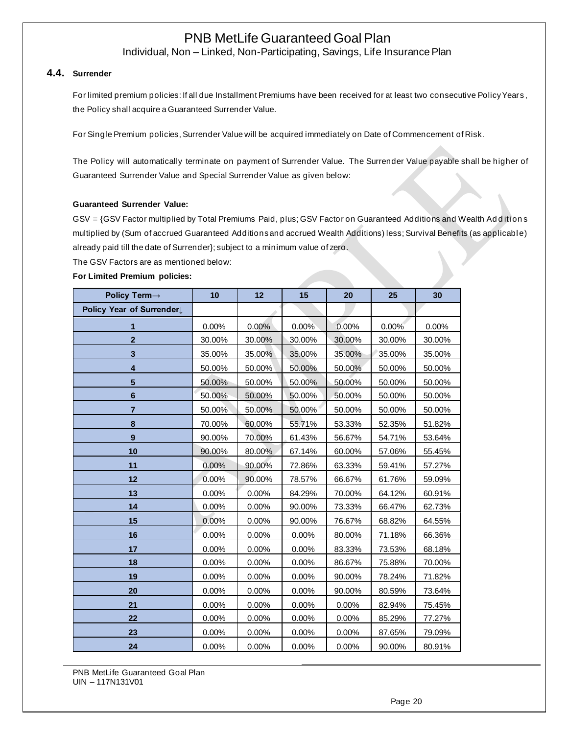Individual, Non – Linked, Non-Participating, Savings, Life Insurance Plan

#### **4.4. Surrender**

For limited premium policies: If all due Installment Premiums have been received for at least two consecutive Policy Years, the Policy shall acquire a Guaranteed Surrender Value.

For Single Premium policies, Surrender Value will be acquired immediately on Date of Commencement of Risk.

The Policy will automatically terminate on payment of Surrender Value. The Surrender Value payable shall be higher of Guaranteed Surrender Value and Special Surrender Value as given below:

#### **Guaranteed Surrender Value:**

GSV = {GSV Factor multiplied by Total Premiums Paid, plus; GSV Factor on Guaranteed Additions and Wealth Additions multiplied by (Sum of accrued Guaranteed Additions and accrued Wealth Additions) less; Survival Benefits (as applicable) already paid till the date of Surrender}; subject to a minimum value of zero.

The GSV Factors are as mentioned below:

#### **For Limited Premium policies:**

| Policy Term→             | 10     | 12     | 15     | 20     | 25     | 30     |
|--------------------------|--------|--------|--------|--------|--------|--------|
| Policy Year of Surrender |        |        |        |        |        |        |
| 1                        | 0.00%  | 0.00%  | 0.00%  | 0.00%  | 0.00%  | 0.00%  |
| $\mathbf{2}$             | 30.00% | 30.00% | 30.00% | 30.00% | 30.00% | 30.00% |
| 3                        | 35.00% | 35.00% | 35.00% | 35.00% | 35.00% | 35.00% |
| $\overline{\mathbf{4}}$  | 50.00% | 50.00% | 50.00% | 50.00% | 50.00% | 50.00% |
| 5                        | 50.00% | 50.00% | 50.00% | 50.00% | 50.00% | 50.00% |
| $6\phantom{1}$           | 50.00% | 50.00% | 50.00% | 50.00% | 50.00% | 50.00% |
| $\overline{7}$           | 50.00% | 50.00% | 50.00% | 50.00% | 50.00% | 50.00% |
| 8                        | 70.00% | 60.00% | 55.71% | 53.33% | 52.35% | 51.82% |
| 9                        | 90.00% | 70.00% | 61.43% | 56.67% | 54.71% | 53.64% |
| 10                       | 90.00% | 80.00% | 67.14% | 60.00% | 57.06% | 55.45% |
| 11                       | 0.00%  | 90.00% | 72.86% | 63.33% | 59.41% | 57.27% |
| 12                       | 0.00%  | 90.00% | 78.57% | 66.67% | 61.76% | 59.09% |
| 13                       | 0.00%  | 0.00%  | 84.29% | 70.00% | 64.12% | 60.91% |
| 14                       | 0.00%  | 0.00%  | 90.00% | 73.33% | 66.47% | 62.73% |
| 15                       | 0.00%  | 0.00%  | 90.00% | 76.67% | 68.82% | 64.55% |
| 16                       | 0.00%  | 0.00%  | 0.00%  | 80.00% | 71.18% | 66.36% |
| 17                       | 0.00%  | 0.00%  | 0.00%  | 83.33% | 73.53% | 68.18% |
| 18                       | 0.00%  | 0.00%  | 0.00%  | 86.67% | 75.88% | 70.00% |
| 19                       | 0.00%  | 0.00%  | 0.00%  | 90.00% | 78.24% | 71.82% |
| 20                       | 0.00%  | 0.00%  | 0.00%  | 90.00% | 80.59% | 73.64% |
| 21                       | 0.00%  | 0.00%  | 0.00%  | 0.00%  | 82.94% | 75.45% |
| 22                       | 0.00%  | 0.00%  | 0.00%  | 0.00%  | 85.29% | 77.27% |
| 23                       | 0.00%  | 0.00%  | 0.00%  | 0.00%  | 87.65% | 79.09% |
| 24                       | 0.00%  | 0.00%  | 0.00%  | 0.00%  | 90.00% | 80.91% |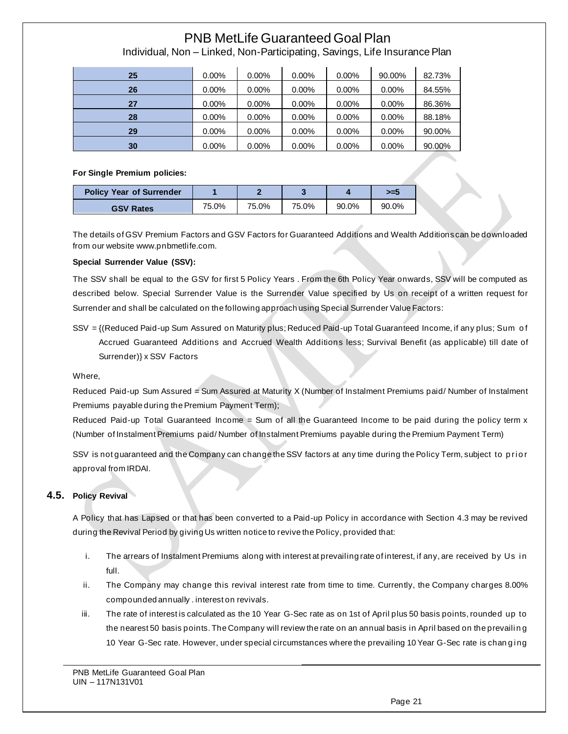| 25 | $0.00\%$ | $0.00\%$ | $0.00\%$ | $0.00\%$ | 90.00%   | 82.73% |
|----|----------|----------|----------|----------|----------|--------|
| 26 | $0.00\%$ | $0.00\%$ | $0.00\%$ | $0.00\%$ | $0.00\%$ | 84.55% |
| 27 | $0.00\%$ | $0.00\%$ | 0.00%    | 0.00%    | $0.00\%$ | 86.36% |
| 28 | $0.00\%$ | $0.00\%$ | $0.00\%$ | $0.00\%$ | $0.00\%$ | 88.18% |
| 29 | $0.00\%$ | $0.00\%$ | $0.00\%$ | $0.00\%$ | $0.00\%$ | 90.00% |
| 30 | $0.00\%$ | $0.00\%$ | $0.00\%$ | $0.00\%$ | $0.00\%$ | 90.00% |

Individual, Non – Linked, Non-Participating, Savings, Life Insurance Plan

#### **For Single Premium policies:**

| <b>Policy Year of Surrender</b> |       |       |       |       | >=5   |
|---------------------------------|-------|-------|-------|-------|-------|
| <b>GSV Rates</b>                | 75.0% | 75.0% | 75.0% | 90.0% | 90.0% |

The details of GSV Premium Factors and GSV Factors for Guaranteed Additions and Wealth Additions can be downloaded from our website www.pnbmetlife.com.

#### **Special Surrender Value (SSV):**

The SSV shall be equal to the GSV for first 5 Policy Years . From the 6th Policy Year onwards, SSV will be computed as described below. Special Surrender Value is the Surrender Value specified by Us on receipt of a written request for Surrender and shall be calculated on the following approach using Special Surrender Value Factors:

SSV = {(Reduced Paid-up Sum Assured on Maturity plus; Reduced Paid-up Total Guaranteed Income, if any plus; Sum o f Accrued Guaranteed Additions and Accrued Wealth Additions less; Survival Benefit (as applicable) till date of Surrender)} x SSV Factors

### Where,

Reduced Paid-up Sum Assured = Sum Assured at Maturity X (Number of Instalment Premiums paid/ Number of Instalment Premiums payable during the Premium Payment Term);

Reduced Paid-up Total Guaranteed Income = Sum of all the Guaranteed Income to be paid during the policy term x (Number of Instalment Premiums paid/ Number of Instalment Premiums payable during the Premium Payment Term)

SSV is not guaranteed and the Company can change the SSV factors at any time during the Policy Term, subject to prior approval from IRDAI.

# **4.5. Policy Revival**

A Policy that has Lapsed or that has been converted to a Paid-up Policy in accordance with Section 4.3 may be revived during the Revival Period by giving Us written notice to revive the Policy, provided that:

- i. The arrears of Instalment Premiums along with interest at prevailing rate of interest, if any, are received by Us in full.
- ii. The Company may change this revival interest rate from time to time. Currently, the Company charges 8.00% compounded annually . interest on revivals.
- iii. The rate of interest is calculated as the 10 Year G-Sec rate as on 1st of April plus 50 basis points, rounded up to the nearest 50 basis points. The Company will review the rate on an annual basis in April based on the prevailing 10 Year G-Sec rate. However, under special circumstances where the prevailing 10 Year G-Sec rate is chan ging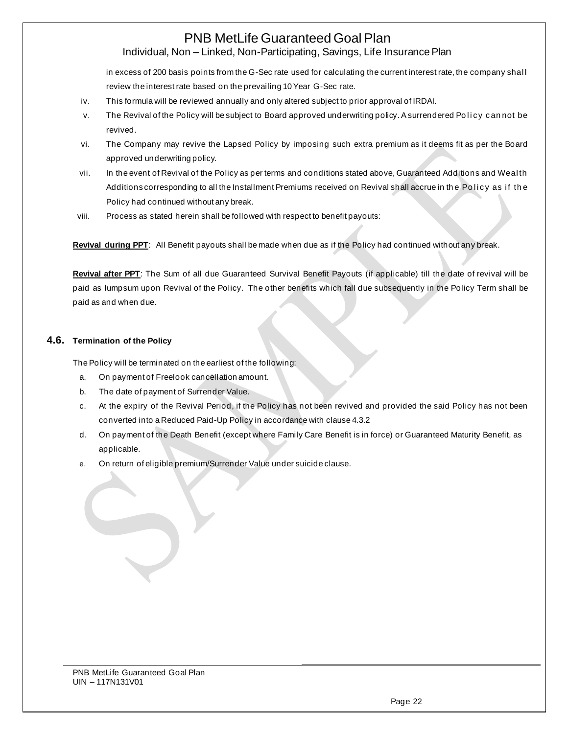# Individual, Non – Linked, Non-Participating, Savings, Life Insurance Plan

in excess of 200 basis points from the G-Sec rate used for calculating the current interest rate, the company shal l review the interest rate based on the prevailing 10 Year G-Sec rate.

- iv. This formula will be reviewed annually and only altered subject to prior approval of IRDAI.
- v. The Revival of the Policy will be subject to Board approved underwriting policy. A surrendered Policy cannot be revived.
- vi. The Company may revive the Lapsed Policy by imposing such extra premium as it deems fit as per the Board approved underwriting policy.
- vii. In the event of Revival of the Policy as per terms and conditions stated above, Guaranteed Additions and Weal th Additions corresponding to all the Installment Premiums received on Revival shall accrue in the Policy as if the Policy had continued without any break.
- viii. Process as stated herein shall be followed with respect to benefit payouts:

**Revival during PPT**: All Benefit payouts shall be made when due as if the Policy had continued without any break.

**Revival after PPT**: The Sum of all due Guaranteed Survival Benefit Payouts (if applicable) till the date of revival will be paid as lumpsum upon Revival of the Policy. The other benefits which fall due subsequently in the Policy Term shall be paid as and when due.

## **4.6. Termination of the Policy**

The Policy will be terminated on the earliest of the following:

- a. On payment of Freelook cancellation amount.
- b. The date of payment of Surrender Value.
- c. At the expiry of the Revival Period, if the Policy has not been revived and provided the said Policy has not been converted into a Reduced Paid-Up Policy in accordance with clause 4.3.2
- d. On payment of the Death Benefit (except where Family Care Benefit is in force) or Guaranteed Maturity Benefit, as applicable.
- e. On return of eligible premium/Surrender Value under suicide clause.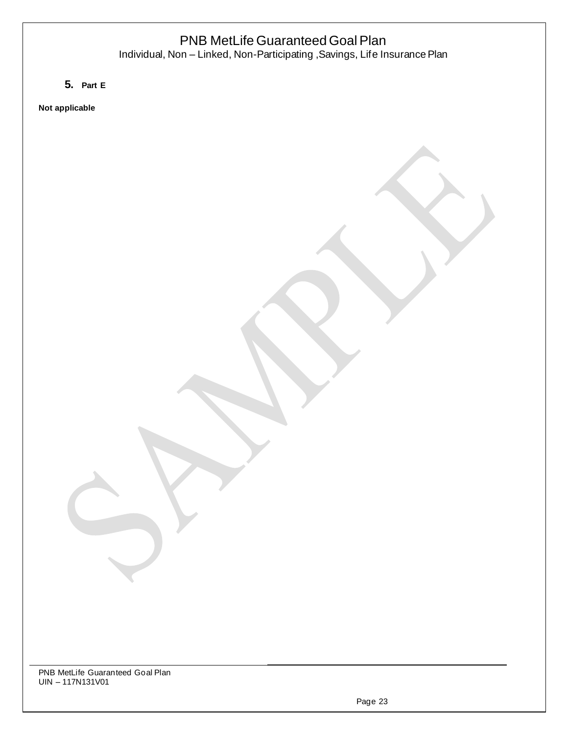Individual, Non – Linked, Non-Participating ,Savings, Life Insurance Plan

**5. Part E**

**Not applicable**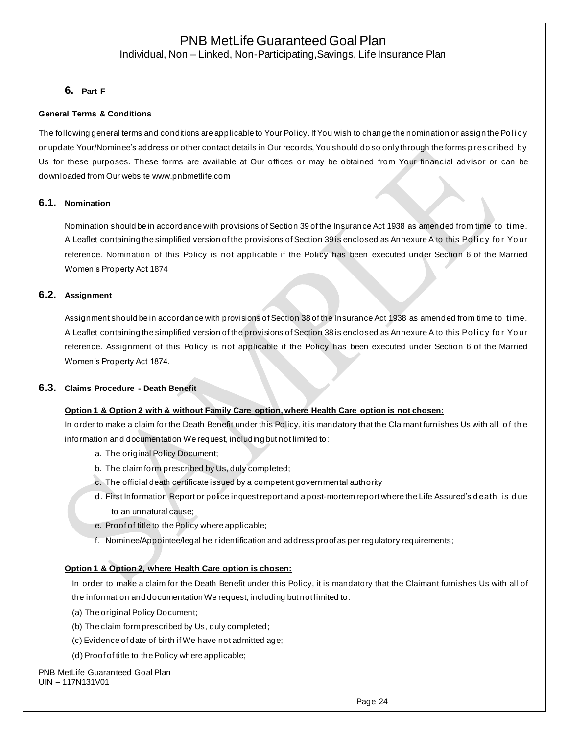Individual, Non – Linked, Non-Participating,Savings, Life Insurance Plan

## **6. Part F**

### **General Terms & Conditions**

The following general terms and conditions are applicable to Your Policy. If You wish to change the nomination or assign the Policy or update Your/Nominee's address or other contact details in Our records, You should do so only through the forms p rescribed by Us for these purposes. These forms are available at Our offices or may be obtained from Your financial advisor or can be downloaded from Our websit[e www.pnbmetlife.com](http://www.pnbmetlife.com/)

### **6.1. Nomination**

Nomination should be in accordance with provisions of Section 39 of the Insurance Act 1938 as amended from time to ti me. A Leaflet containing the simplified version of the provisions of Section 39 is enclosed as Annexure A to this Policy for Your reference. Nomination of this Policy is not applicable if the Policy has been executed under Section 6 of the Married Women's Property Act 1874

### **6.2. Assignment**

Assignment should be in accordance with provisions of Section 38 of the Insurance Act 1938 as amended from time to ti me. A Leaflet containing the simplified version of the provisions of Section 38 is enclosed as Annexure A to this Policy for Your reference. Assignment of this Policy is not applicable if the Policy has been executed under Section 6 of the Married Women's Property Act 1874.

### **6.3. Claims Procedure - Death Benefit**

### **Option 1 & Option 2 with & without Family Care option, where Health Care option is not chosen:**

In order to make a claim for the Death Benefit under this Policy, it is mandatory that the Claimant furnishes Us with all of the information and documentation We request, including but not limited to:

- a. The original Policy Document;
- b. The claim form prescribed by Us, duly completed;
- c. The official death certificate issued by a competent governmental authority
- d. First Information Report or police inquest report and a post-mortem report where the Life Assured's d eath i s d ue to an unnatural cause;
- e. Proof of title to the Policy where applicable;
- f. Nominee/Appointee/legal heir identification and address proof as per regulatory requirements;

### **Option 1 & Option 2, where Health Care option is chosen:**

In order to make a claim for the Death Benefit under this Policy, it is mandatory that the Claimant furnishes Us with all of the information and documentation We request, including but not limited to:

- (a) The original Policy Document;
- (b) The claim form prescribed by Us, duly completed;
- (c) Evidence of date of birth if We have not admitted age;
- (d) Proof of title to the Policy where applicable;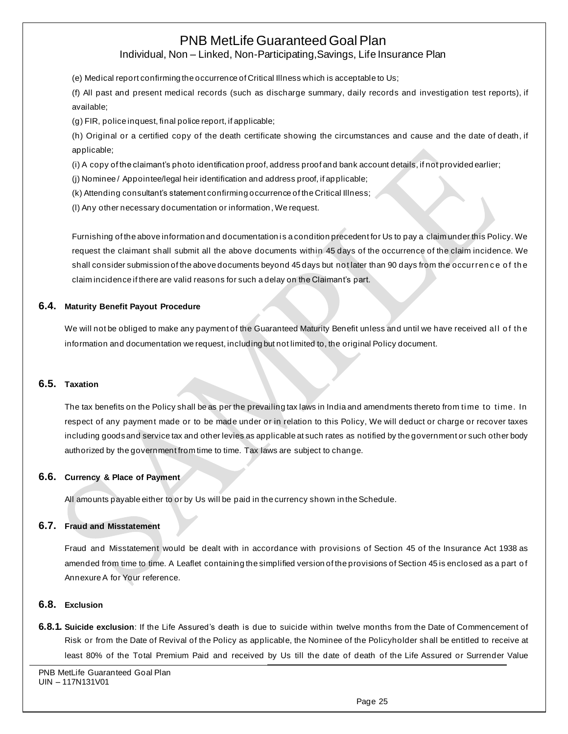Individual, Non – Linked, Non-Participating,Savings, Life Insurance Plan

(e) Medical report confirming the occurrence of Critical Illness which is acceptable to Us;

(f) All past and present medical records (such as discharge summary, daily records and investigation test reports), if available;

(g) FIR, police inquest, final police report, if applicable;

(h) Original or a certified copy of the death certificate showing the circumstances and cause and the date of death, if applicable;

(i) A copy of the claimant's photo identification proof, address proof and bank account details, if not provided earlier;

(j) Nominee / Appointee/legal heir identification and address proof, if applicable;

(k) Attending consultant's statement confirming occurrence of the Critical Illness;

(l) Any other necessary documentation or information, We request.

Furnishing of the above information and documentation is a condition precedent for Us to pay a claim under this Policy. We request the claimant shall submit all the above documents within 45 days of the occurrence of the claim incidence. We shall consider submission of the above documents beyond 45 days but not later than 90 days from the occurrence of the claim incidence if there are valid reasons for such a delay on the Claimant's part.

### **6.4. Maturity Benefit Payout Procedure**

We will not be obliged to make any payment of the Guaranteed Maturity Benefit unless and until we have received all of the information and documentation we request, including but not limited to, the original Policy document.

### **6.5. Taxation**

The tax benefits on the Policy shall be as per the prevailing tax laws in India and amendments thereto from time to time. In respect of any payment made or to be made under or in relation to this Policy, We will deduct or charge or recover taxes including goods and service tax and other levies as applicable at such rates as notified by the government or such other body authorized by the government from time to time. Tax laws are subject to change.

### **6.6. Currency & Place of Payment**

All amounts payable either to or by Us will be paid in the currency shown in the Schedule.

### **6.7. Fraud and Misstatement**

Fraud and Misstatement would be dealt with in accordance with provisions of Section 45 of the Insurance Act 1938 as amended from time to time. A Leaflet containing the simplified version of the provisions of Section 45 is enclosed as a part o f Annexure A for Your reference.

### **6.8. Exclusion**

**6.8.1. Suicide exclusion**: If the Life Assured's death is due to suicide within twelve months from the Date of Commencement of Risk or from the Date of Revival of the Policy as applicable, the Nominee of the Policyholder shall be entitled to receive at least 80% of the Total Premium Paid and received by Us till the date of death of the Life Assured or Surrender Value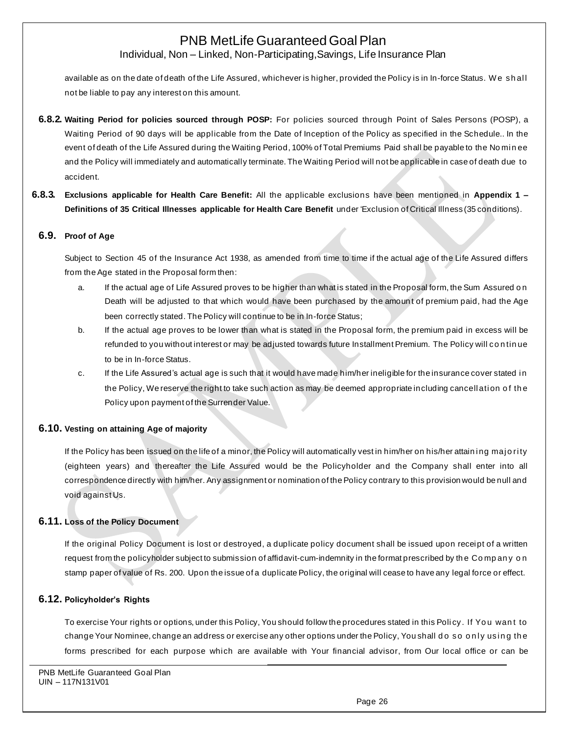Individual, Non – Linked, Non-Participating,Savings, Life Insurance Plan

available as on the date of death of the Life Assured, whichever is higher, provided the Policy is in In-force Status. We shall not be liable to pay any interest on this amount.

- **6.8.2. Waiting Period for policies sourced through POSP:** For policies sourced through Point of Sales Persons (POSP), a Waiting Period of 90 days will be applicable from the Date of Inception of the Policy as specified in the Schedule.. In the event of death of the Life Assured during the Waiting Period, 100% of Total Premiums Paid shall be payable to the No mi n ee and the Policy will immediately and automatically terminate. The Waiting Period will not be applicable in case of death due to accident.
- **6.8.3. Exclusions applicable for Health Care Benefit:** All the applicable exclusions have been mentioned in **Appendix 1 – Definitions of 35 Critical Illnesses applicable for Health Care Benefit** under 'Exclusion of Critical Illness (35 conditions).

## **6.9. Proof of Age**

Subject to Section 45 of the Insurance Act 1938, as amended from time to time if the actual age of the Life Assured differs from the Age stated in the Proposal form then:

- a. If the actual age of Life Assured proves to be higher than what is stated in the Proposal form, the Sum Assured on Death will be adjusted to that which would have been purchased by the amoun t of premium paid, had the Age been correctly stated. The Policy will continue to be in In-force Status;
- b. If the actual age proves to be lower than what is stated in the Proposal form, the premium paid in excess will be refunded to you without interest or may be adjusted towards future Installment Premium. The Policy will co n tin ue to be in In-force Status.
- c. If the Life Assured's actual age is such that it would have made him/her ineligible for the insurance cover stated in the Policy, We reserve the right to take such action as may be deemed appropriate including cancell ation of the Policy upon payment of the Surrender Value.

## **6.10. Vesting on attaining Age of majority**

If the Policy has been issued on the life of a minor, the Policy will automatically vest in him/her on his/her attaining majority (eighteen years) and thereafter the Life Assured would be the Policyholder and the Company shall enter into all correspondence directly with him/her. Any assignment or nomination of the Policy contrary to this provision would be null and void against Us.

### **6.11. Loss of the Policy Document**

If the original Policy Document is lost or destroyed, a duplicate policy document shall be issued upon receipt of a written request from the policyholder subject to submission of affidavit-cum-indemnity in the format prescribed by th e Co mp an y o n stamp paper of value of Rs. 200. Upon the issue of a duplicate Policy, the original will cease to have any legal force or effect.

### **6.12. Policyholder's Rights**

To exercise Your rights or options, under this Policy, You should follow the procedures stated in this Poli cy. If Yo u wan t to change Your Nominee, change an address or exercise any other options under the Policy, You shall do so only using the forms prescribed for each purpose which are available with Your financial advisor, from Our local office or can be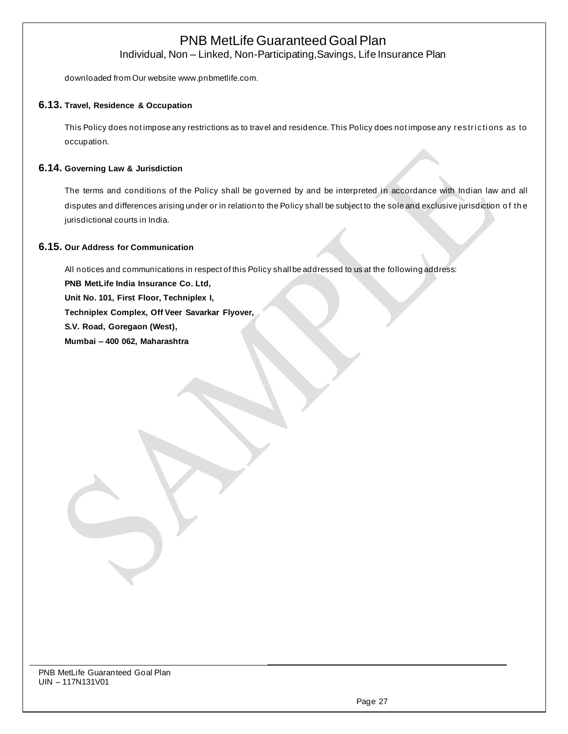Individual, Non – Linked, Non-Participating,Savings, Life Insurance Plan

downloaded from Our website [www.pnbmetlife.com.](http://www.pnbmetlife.com/)

### **6.13. Travel, Residence & Occupation**

This Policy does not impose any restrictions as to travel and residence. This Policy does not impose any restrictions as to occupation.

### **6.14. Governing Law & Jurisdiction**

The terms and conditions of the Policy shall be governed by and be interpreted in accordance with Indian law and all disputes and differences arising under or in relation to the Policy shall be subject to the sole and exclusive jurisdiction o f th e jurisdictional courts in India.

### **6.15. Our Address for Communication**

All notices and communications in respect of this Policy shall be addressed to us at the following address: **PNB MetLife India Insurance Co. Ltd, Unit No. 101, First Floor, Techniplex I, Techniplex Complex, Off Veer Savarkar Flyover, S.V. Road, Goregaon (West), Mumbai – 400 062, Maharashtra**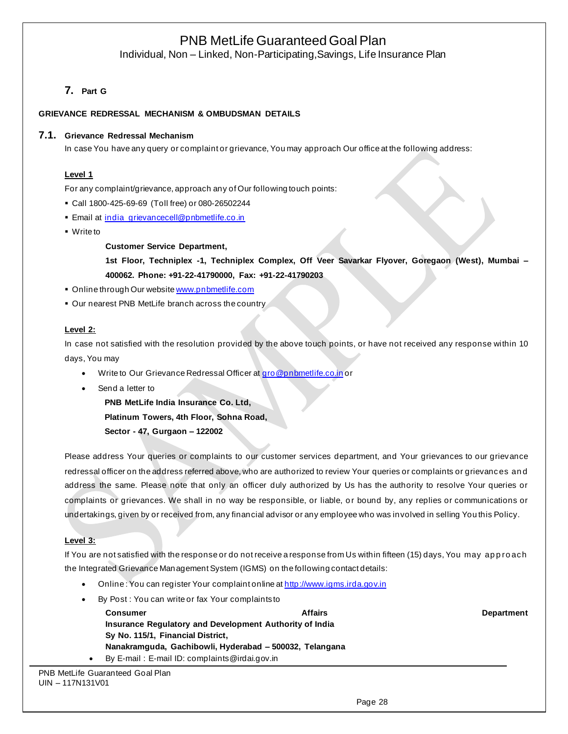Individual, Non – Linked, Non-Participating,Savings, Life Insurance Plan

## **7. Part G**

### **GRIEVANCE REDRESSAL MECHANISM & OMBUDSMAN DETAILS**

### **7.1. Grievance Redressal Mechanism**

In case You have any query or complaint or grievance, You may approach Our office at the following address:

### **Level 1**

For any complaint/grievance, approach any of Our following touch points:

- Call 1800-425-69-69 (Toll free) or 080-26502244
- **Email at [india\\_grievancecell@pnbmetlife.co.in](mailto:india_grievancecell@pnbmetlife.co.in)**
- Write to

#### **Customer Service Department,**

**1st Floor, Techniplex -1, Techniplex Complex, Off Veer Savarkar Flyover, Goregaon (West), Mumbai – 400062. Phone: +91-22-41790000, Fax: +91-22-41790203**

- **Online through Our websit[e www.pnbmetlife.com](http://www.pnbmetlife.com/)**
- **Our nearest PNB MetLife branch across the country**

### **Level 2:**

In case not satisfied with the resolution provided by the above touch points, or have not received any response within 10 days, You may

- Write to Our Grievance Redressal Officer a[t gro@pnbmetlife.co.in](mailto:gro@pnbmetlife.co.in) or
- Send a letter to

**PNB MetLife India Insurance Co. Ltd,**

**Platinum Towers, 4th Floor, Sohna Road,** 

**Sector - 47, Gurgaon – 122002**

Please address Your queries or complaints to our customer services department, and Your grievances to our grievance redressal officer on the address referred above, who are authorized to review Your queries or complaints or grievances an d address the same. Please note that only an officer duly authorized by Us has the authority to resolve Your queries or complaints or grievances. We shall in no way be responsible, or liable, or bound by, any replies or communications or undertakings, given by or received from, any financial advisor or any employee who was involved in selling You this Policy.

### **Level 3:**

If You are not satisfied with the response or do not receive a response from Us within fifteen (15) days, You may ap p ro ach the Integrated Grievance Management System (IGMS) on the following contact details:

- Online : You can register Your complaint online a[t http://www.igms.irda.gov.in](http://www.igms.irda.gov.in/)
- By Post: You can write or fax Your complaints to

**Consumer Affairs Department Insurance Regulatory and Development Authority of India Sy No. 115/1, Financial District, Nanakramguda, Gachibowli, Hyderabad – 500032, Telangana** • By E-mail : E-mail ID: complaints@irdai.gov.in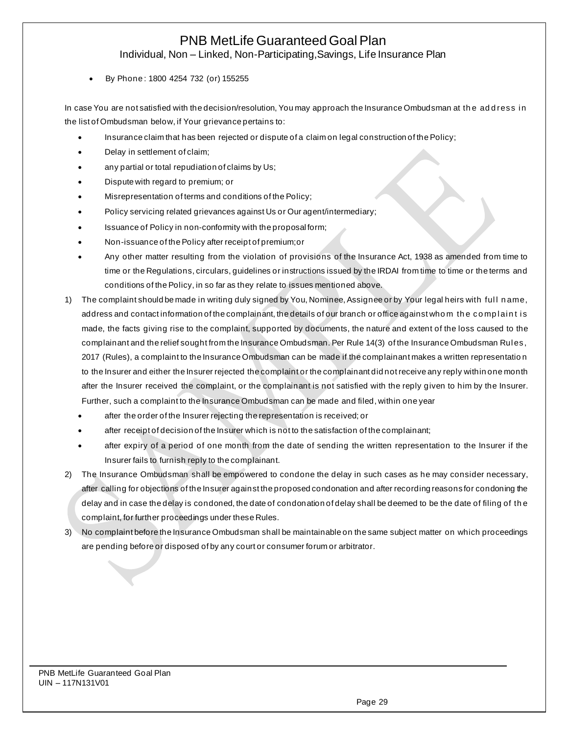Individual, Non – Linked, Non-Participating,Savings, Life Insurance Plan

• By Phone : 1800 4254 732 (or) 155255

In case You are not satisfied with the decision/resolution, You may approach the Insurance Ombudsman at the add ress in the list of Ombudsman below, if Your grievance pertains to:

- Insurance claim that has been rejected or dispute of a claim on legal construction of the Policy;
- Delay in settlement of claim;
- any partial or total repudiation of claims by Us;
- Dispute with regard to premium; or
- Misrepresentation of terms and conditions of the Policy;
- Policy servicing related grievances against Us or Our agent/intermediary;
- Issuance of Policy in non-conformity with the proposal form;
- Non-issuance of the Policy after receipt of premium;or
- Any other matter resulting from the violation of provisions of the Insurance Act, 1938 as amended from time to time or the Regulations, circulars, guidelines or instructions issued by the IRDAI from time to time or the terms and conditions of the Policy, in so far as they relate to issues mentioned above.
- 1) The complaint should be made in writing duly signed by You, Nominee, Assignee or by Your legal heirs with ful l n ame, address and contact information of the complainant, the details of our branch or office against whom the complaint is made, the facts giving rise to the complaint, supported by documents, the nature and extent of the loss caused to the complainant and the relief sought from the Insurance Ombudsman. Per Rule 14(3) of the Insurance Ombudsman Rul es, 2017 (Rules), a complaint to the Insurance Ombudsman can be made if the complainant makes a written representatio n to the Insurer and either the Insurer rejected the complaint or the complainant did not receive any reply within one month after the Insurer received the complaint, or the complainant is not satisfied with the reply given to him by the Insurer. Further, such a complaint to the Insurance Ombudsman can be made and filed, within one year
	- after the order of the Insurer rejecting the representation is received; or
	- after receipt of decision of the Insurer which is not to the satisfaction of the complainant;
	- after expiry of a period of one month from the date of sending the written representation to the Insurer if the Insurer fails to furnish reply to the complainant.
- 2) The Insurance Ombudsman shall be empowered to condone the delay in such cases as he may consider necessary, after calling for objections of the Insurer against the proposed condonation and after recording reasons for condoning the delay and in case the delay is condoned, the date of condonation of delay shall be deemed to be the date of filing of th e complaint, for further proceedings under these Rules.
- 3) No complaint before the Insurance Ombudsman shall be maintainable on the same subject matter on which proceedings are pending before or disposed of by any court or consumer forum or arbitrator.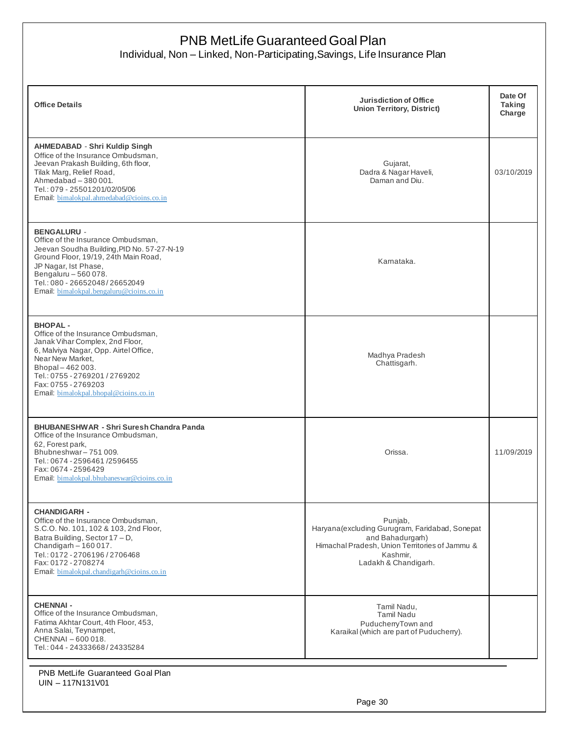Individual, Non – Linked, Non-Participating,Savings, Life Insurance Plan

| <b>Office Details</b>                                                                                                                                                                                                                                                       | <b>Jurisdiction of Office</b><br><b>Union Territory, District)</b>                                                                                                   | Date Of<br>Taking<br>Charge |
|-----------------------------------------------------------------------------------------------------------------------------------------------------------------------------------------------------------------------------------------------------------------------------|----------------------------------------------------------------------------------------------------------------------------------------------------------------------|-----------------------------|
| <b>AHMEDABAD - Shri Kuldip Singh</b><br>Office of the Insurance Ombudsman,<br>Jeevan Prakash Building, 6th floor,<br>Tilak Marg, Relief Road,<br>Ahmedabad - 380 001.<br>Tel.: 079 - 25501201/02/05/06<br>Email: bimalokpal.ahmedabad@cioins.co.in                          | Gujarat,<br>Dadra & Nagar Haveli,<br>Daman and Diu.                                                                                                                  | 03/10/2019                  |
| <b>BENGALURU -</b><br>Office of the Insurance Ombudsman,<br>Jeevan Soudha Building, PID No. 57-27-N-19<br>Ground Floor, 19/19, 24th Main Road,<br>JP Nagar, Ist Phase,<br>Bengaluru - 560 078.<br>Tel.: 080 - 26652048/26652049<br>Email: bimalokpal.bengaluru@cioins.co.in | Karnataka.                                                                                                                                                           |                             |
| <b>BHOPAL-</b><br>Office of the Insurance Ombudsman,<br>Janak Vihar Complex, 2nd Floor,<br>6, Malviya Nagar, Opp. Airtel Office,<br>Near New Market,<br>Bhopal-462003.<br>Tel.: 0755 - 2769201 / 2769202<br>Fax: 0755 - 2769203<br>Email. bimalokpal.bhopal@cioins.co.in    | Madhya Pradesh<br>Chattisgarh.                                                                                                                                       |                             |
| <b>BHUBANESHWAR - Shri Suresh Chandra Panda</b><br>Office of the Insurance Ombudsman,<br>62. Forest park.<br>Bhubneshwar-751009.<br>Tel.: 0674 - 2596461 / 2596455<br>Fax: 0674 - 2596429<br>Email: bimalokpal.bhubaneswar@cioins.co.in                                     | Orissa.                                                                                                                                                              | 11/09/2019                  |
| <b>CHANDIGARH -</b><br>Office of the Insurance Ombudsman.<br>S.C.O. No. 101, 102 & 103, 2nd Floor,<br>Batra Building, Sector 17 - D,<br>Chandigarh - 160 017.<br>Tel.: 0172 - 2706196 / 2706468<br>Fax: 0172 - 2708274<br>Email: bimalokpal.chandigarh@cioins.co.in         | Punjab,<br>Haryana (excluding Gurugram, Faridabad, Sonepat<br>and Bahadurgarh)<br>Himachal Pradesh, Union Territories of Jammu &<br>Kashmir,<br>Ladakh & Chandigarh. |                             |
| <b>CHENNAI-</b><br>Office of the Insurance Ombudsman,<br>Fatima Akhtar Court, 4th Floor, 453,<br>Anna Salai, Teynampet,<br>CHENNAI - 600 018.<br>Tel.: 044 - 24333668/24335284                                                                                              | Tamil Nadu,<br><b>Tamil Nadu</b><br>PuducherryTown and<br>Karaikal (which are part of Puducherry).                                                                   |                             |
| PNB MetLife Guaranteed Goal Plan                                                                                                                                                                                                                                            |                                                                                                                                                                      |                             |

UIN – 117N131V01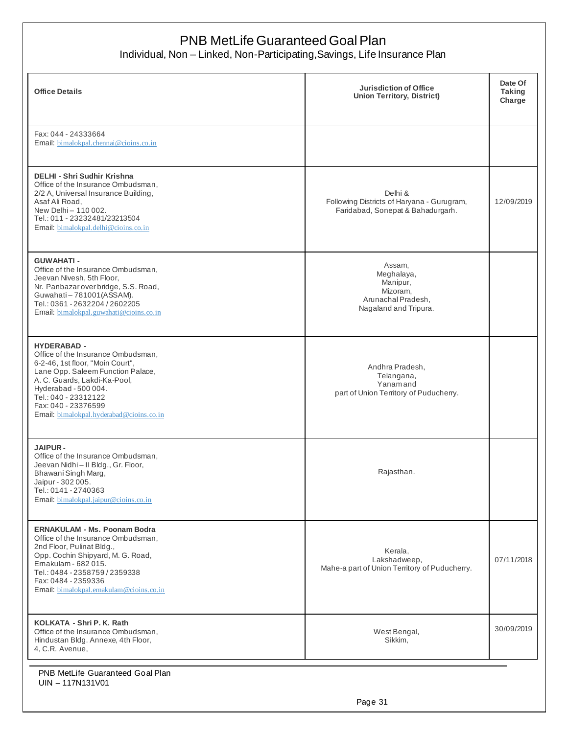Individual, Non – Linked, Non-Participating,Savings, Life Insurance Plan

| <b>Office Details</b>                                                                                                                                                                                                                                                                | <b>Jurisdiction of Office</b><br><b>Union Territory, District)</b>                          | Date Of<br><b>Taking</b><br>Charge |
|--------------------------------------------------------------------------------------------------------------------------------------------------------------------------------------------------------------------------------------------------------------------------------------|---------------------------------------------------------------------------------------------|------------------------------------|
| Fax: 044 - 24333664<br>Email. bimalokpal.chennai@cioins.co.in                                                                                                                                                                                                                        |                                                                                             |                                    |
| <b>DELHI - Shri Sudhir Krishna</b><br>Office of the Insurance Ombudsman,<br>2/2 A, Universal Insurance Building,<br>Asaf Ali Road,<br>New Delhi - 110 002.<br>Tel.: 011 - 23232481/23213504<br>Email: bimalokpal.delhi@cioins.co.in                                                  | Delhi &<br>Following Districts of Haryana - Gurugram,<br>Faridabad, Sonepat & Bahadurgarh.  | 12/09/2019                         |
| <b>GUWAHATI -</b><br>Office of the Insurance Ombudsman.<br>Jeevan Nivesh, 5th Floor,<br>Nr. Panbazar over bridge, S.S. Road,<br>Guwahati-781001(ASSAM).<br>Tel.: 0361 - 2632204 / 2602205<br>Email: bimalokpal.guwahati@cioins.co.in                                                 | Assam,<br>Meghalaya,<br>Manipur,<br>Mizoram,<br>Arunachal Pradesh,<br>Nagaland and Tripura. |                                    |
| <b>HYDERABAD -</b><br>Office of the Insurance Ombudsman,<br>6-2-46, 1st floor, "Moin Court",<br>Lane Opp. Saleem Function Palace,<br>A. C. Guards, Lakdi-Ka-Pool,<br>Hyderabad - 500 004.<br>Tel.: 040 - 23312122<br>Fax: 040 - 23376599<br>Email: bimalokpal.hyderabad@cioins.co.in | Andhra Pradesh,<br>Telangana,<br>Yanamand<br>part of Union Territory of Puducherry.         |                                    |
| <b>JAIPUR-</b><br>Office of the Insurance Ombudsman,<br>Jeevan Nidhi - Il Bldg., Gr. Floor,<br>Bhawani Singh Marg,<br>Jaipur - 302 005.<br>Tel.: 0141 - 2740363<br>Email. bimalokpal.jaipur@cioins.co.in                                                                             | Rajasthan.                                                                                  |                                    |
| <b>ERNAKULAM - Ms. Poonam Bodra</b><br>Office of the Insurance Ombudsman,<br>2nd Floor, Pulinat Bldg.,<br>Opp. Cochin Shipyard, M. G. Road,<br>Ernakulam - 682 015.<br>Tel.: 0484 - 2358759 / 2359338<br>Fax: 0484 - 2359336<br>Email: bimalokpal.ernakulam@cioins.co.in             | Kerala,<br>Lakshadweep,<br>Mahe-a part of Union Territory of Puducherry.                    | 07/11/2018                         |
| KOLKATA - Shri P. K. Rath<br>Office of the Insurance Ombudsman,<br>Hindustan Bldg. Annexe, 4th Floor,<br>4, C.R. Avenue,                                                                                                                                                             | West Bengal,<br>Sikkim,                                                                     | 30/09/2019                         |
| PNB MetLife Guaranteed Goal Plan<br>UIN - 117N131V01                                                                                                                                                                                                                                 |                                                                                             |                                    |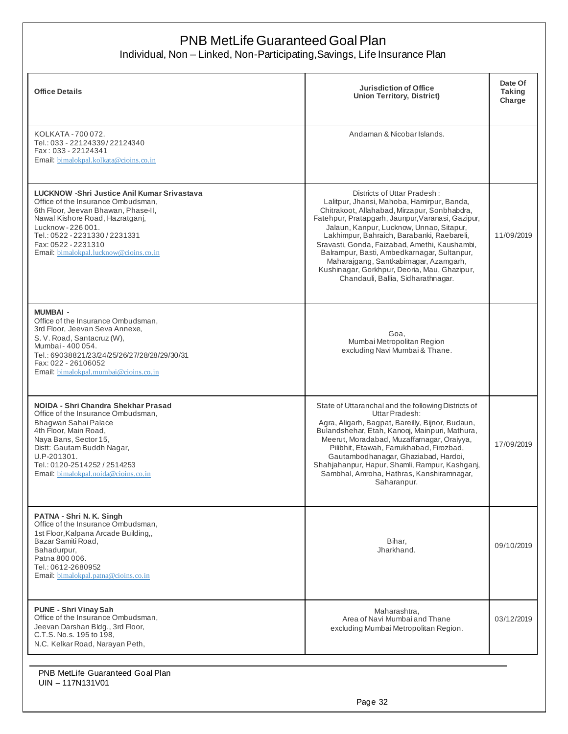Individual, Non – Linked, Non-Participating,Savings, Life Insurance Plan

| <b>Office Details</b>                                                                                                                                                                                                                                                                | Jurisdiction of Office<br><b>Union Territory, District)</b>                                                                                                                                                                                                                                                                                                                                                                                                                                              | Date Of<br><b>Taking</b><br>Charge |
|--------------------------------------------------------------------------------------------------------------------------------------------------------------------------------------------------------------------------------------------------------------------------------------|----------------------------------------------------------------------------------------------------------------------------------------------------------------------------------------------------------------------------------------------------------------------------------------------------------------------------------------------------------------------------------------------------------------------------------------------------------------------------------------------------------|------------------------------------|
| KOLKATA - 700 072.<br>Tel.: 033 - 22124339/22124340<br>Fax: 033 - 22124341<br>Email. bimalokpal.kolkata@cioins.co.in                                                                                                                                                                 | Andaman & Nicobar Islands.                                                                                                                                                                                                                                                                                                                                                                                                                                                                               |                                    |
| LUCKNOW -Shri Justice Anil Kumar Srivastava<br>Office of the Insurance Ombudsman,<br>6th Floor, Jeevan Bhawan, Phase-II,<br>Nawal Kishore Road, Hazratganj,<br>Lucknow - 226 001.<br>Tel.: 0522 - 2231330 / 2231331<br>Fax: 0522 - 2231310<br>Email: bimalokpal.lucknow@cioins.co.in | Districts of Uttar Pradesh:<br>Lalitpur, Jhansi, Mahoba, Hamirpur, Banda,<br>Chitrakoot, Allahabad, Mirzapur, Sonbhabdra,<br>Fatehpur, Pratapgarh, Jaunpur, Varanasi, Gazipur,<br>Jalaun, Kanpur, Lucknow, Unnao, Sitapur,<br>Lakhimpur, Bahraich, Barabanki, Raebareli,<br>Sravasti, Gonda, Faizabad, Amethi, Kaushambi,<br>Balrampur, Basti, Ambedkarnagar, Sultanpur,<br>Maharajgang, Santkabirnagar, Azamgarh,<br>Kushinagar, Gorkhpur, Deoria, Mau, Ghazipur,<br>Chandauli, Ballia, Sidharathnagar. | 11/09/2019                         |
| <b>MUMBAI -</b><br>Office of the Insurance Ombudsman,<br>3rd Floor, Jeevan Seva Annexe,<br>S. V. Road, Santacruz (W),<br>Mumbai - 400 054.<br>Tel.: 69038821/23/24/25/26/27/28/28/29/30/31<br>Fax: 022 - 26106052<br>Email: bimalokpal.mumbai@cioins.co.in                           | Goa,<br>Mumbai Metropolitan Region<br>excluding Navi Mumbai & Thane.                                                                                                                                                                                                                                                                                                                                                                                                                                     |                                    |
| NOIDA - Shri Chandra Shekhar Prasad<br>Office of the Insurance Ombudsman,<br>Bhagwan Sahai Palace<br>4th Floor, Main Road,<br>Naya Bans, Sector 15,<br>Distt: Gautam Buddh Nagar,<br>U.P-201301.<br>Tel.: 0120-2514252 / 2514253<br>Email. bimalokpal.noida@cioins.co.in             | State of Uttaranchal and the following Districts of<br>Uttar Pradesh:<br>Agra, Aligarh, Bagpat, Bareilly, Bijnor, Budaun,<br>Bulandshehar, Etah, Kanooj, Mainpuri, Mathura,<br>Meerut, Moradabad, Muzaffarnagar, Oraiyya,<br>Pilibhit, Etawah, Farrukhabad, Firozbad,<br>Gautambodhanagar, Ghaziabad, Hardoi,<br>Shahjahanpur, Hapur, Shamli, Rampur, Kashganj,<br>Sambhal, Amroha, Hathras, Kanshiramnagar,<br>Saharanpur.                                                                              | 17/09/2019                         |
| PATNA - Shri N. K. Singh<br>Office of the Insurance Ombudsman,<br>1st Floor, Kalpana Arcade Building,,<br>Bazar Samiti Road,<br>Bahadurpur,<br>Patna 800 006.<br>Tel.: 0612-2680952<br>Email: bimalokpal.patna@cioins.co.in                                                          | Bihar,<br>Jharkhand.                                                                                                                                                                                                                                                                                                                                                                                                                                                                                     | 09/10/2019                         |
| <b>PUNE - Shri Vinay Sah</b><br>Office of the Insurance Ombudsman,<br>Jeevan Darshan Bldg., 3rd Floor,<br>C.T.S. No.s. 195 to 198,<br>N.C. Kelkar Road, Narayan Peth,                                                                                                                | Maharashtra,<br>Area of Navi Mumbai and Thane<br>excluding Mumbai Metropolitan Region.                                                                                                                                                                                                                                                                                                                                                                                                                   | 03/12/2019                         |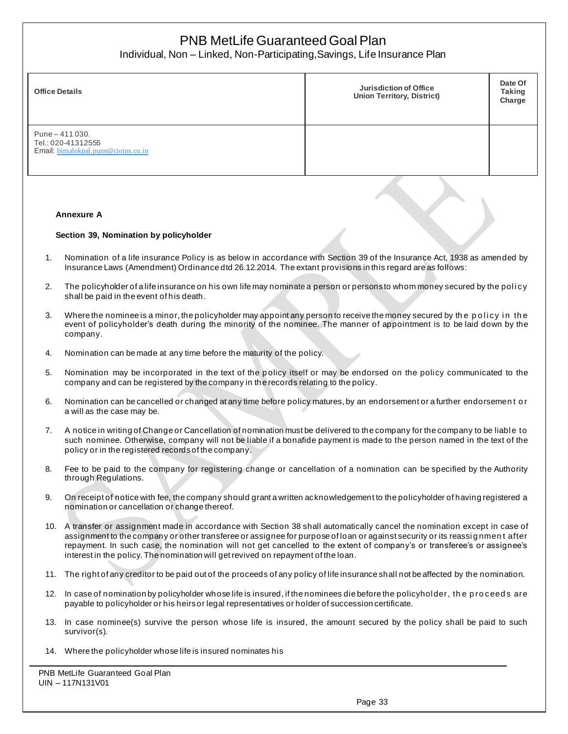Individual, Non – Linked, Non-Participating,Savings, Life Insurance Plan

| <b>Office Details</b>                                                         | Jurisdiction of Office<br><b>Union Territory, District)</b> | Date Of<br><b>Taking</b><br>Charge |
|-------------------------------------------------------------------------------|-------------------------------------------------------------|------------------------------------|
| Pune $-411030$ .<br>Tel.: 020-41312555<br>Email: bimalokpal.pune@cioins.co.in |                                                             |                                    |

#### **Annexure A**

#### **Section 39, Nomination by policyholder**

- 1. Nomination of a life insurance Policy is as below in accordance with Section 39 of the Insurance Act, 1938 as amended by Insurance Laws (Amendment) Ordinance dtd 26.12.2014. The extant provisions in this regard are as follows:
- 2. The policyholder of a life insurance on his own life may nominate a person or persons to whom money secured by the policy shall be paid in the event of his death.
- 3. Where the nominee is a minor, the policyholder may appoint any person to receive the money secured by the policy in the event of policyholder's death during the minority of the nominee. The manner of appointment is to be laid down by the company.
- 4. Nomination can be made at any time before the maturity of the policy.
- 5. Nomination may be incorporated in the text of the p olicy itself or may be endorsed on the policy communicated to the company and can be registered by the company in the records relating to the policy.
- 6. Nomination can be cancelled or changed at any time before policy matures, by an endorsement or a further endorsemen t o r a will as the case may be.
- 7. A notice in writing of Change or Cancellation of nomination must be delivered to the company for the company to be liabl e to such nominee. Otherwise, company will not be liable if a bonafide payment is made to the person named in the text of the policy or in the registered recordsof the company.
- 8. Fee to be paid to the company for registering change or cancellation of a nomination can be specified by the Authority through Regulations.
- 9. On receipt of notice with fee, the company should grant a written acknowledgement to the policyholder of having registered a nomination or cancellation or change thereof.
- 10. A transfer or assignment made in accordance with Section 38 shall automatically cancel the nomination except in case of assignment to the company or other transferee or assignee for purpose of loan or against security or its reassi g nmen t after repayment. In such case, the nomination will not get cancelled to the extent of company's or transferee's or assignee's interest in the policy. The nomination will get revived on repayment of the loan.
- 11. The right of any creditor to be paid out of the proceeds of any policy of life insurance shall not be affected by the nomination.
- 12. In case of nomination by policyholder whose life is insured, if the nominees die before the policyhol der, th e p ro ceed s are payable to policyholder or his heirs or legal representatives or holder of succession certificate.
- 13. In case nominee(s) survive the person whose life is insured, the amount secured by the policy shall be paid to such survivor(s).
- 14. Where the policyholder whose life is insured nominates his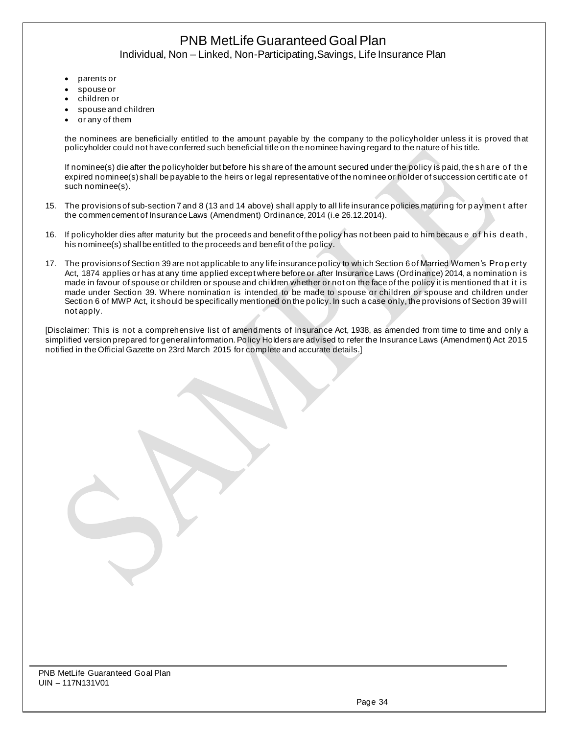# PNB MetLife Guaranteed Goal Plan Individual, Non – Linked, Non-Participating,Savings, Life Insurance Plan

- parents or
- spouse or
- children or
- spouse and children
- or any of them

the nominees are beneficially entitled to the amount payable by the company to the policyholder unless it is proved that policyholder could not have conferred such beneficial title on the nominee having regard to the nature of his title.

If nominee(s) die after the policyholder but before his share of the amount secured under the policy is paid, the sh are o f th e expired nominee(s) shall be payable to the heirs or legal representative of the nominee or holder of succession certifi cate o f such nominee(s).

- 15. The provisions of sub-section 7 and 8 (13 and 14 above) shall apply to all life insurance policies maturing for p aymen t after the commencement of Insurance Laws (Amendment) Ordinance, 2014 (i.e 26.12.2014).
- 16. If policyholder dies after maturity but the proceeds and benefit of the policy has not been paid to him becaus e of his death, his nominee(s) shall be entitled to the proceeds and benefit of the policy.
- 17. The provisions of Section 39 are not applicable to any life insurance policy to which Section 6 of Married Women's Pro p erty Act, 1874 applies or has at any time applied except where before or after Insurance Laws (Ordinance) 2014, a nomination is made in favour of spouse or children or spouse and children whether or not on the face of the policy it is mentioned that it is made under Section 39. Where nomination is intended to be made to spouse or children or spouse and children under Section 6 of MWP Act, it should be specifically mentioned on the policy. In such a case only, the provisions of Section 39 will not apply.

[Disclaimer: This is not a comprehensive list of amendments of Insurance Act, 1938, as amended from time to time and only a simplified version prepared for general information. Policy Holders are advised to refer the Insurance Laws (Amendment) Act 2015 notified in the Official Gazette on 23rd March 2015 for complete and accurate details.]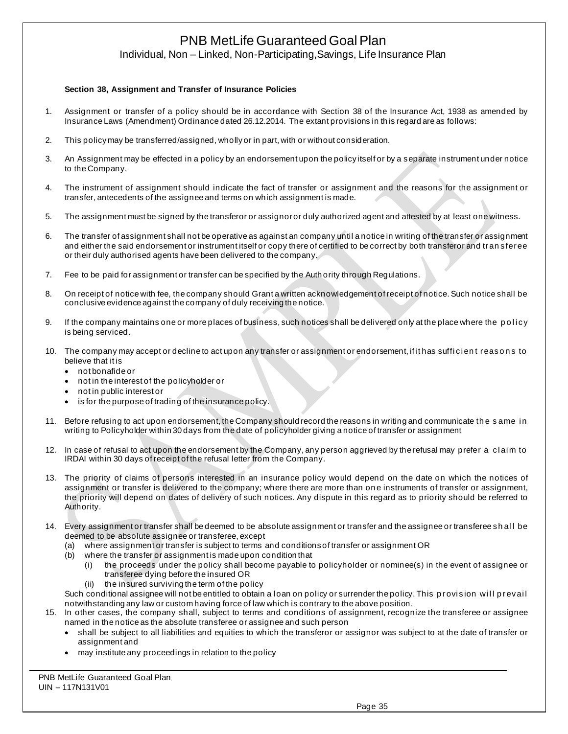Individual, Non – Linked, Non-Participating,Savings, Life Insurance Plan

#### **Section 38, Assignment and Transfer of Insurance Policies**

- 1. Assignment or transfer of a policy should be in accordance with Section 38 of the Insurance Act, 1938 as amended by Insurance Laws (Amendment) Ordinance dated 26.12.2014. The extant provisions in this regard are as follows:
- 2. This policy may be transferred/assigned, wholly or in part, with or without consideration.
- 3. An Assignment may be effected in a policy by an endorsement upon the policy itself or by a separate instrument under notice to the Company.
- 4. The instrument of assignment should indicate the fact of transfer or assignment and the reasons for the assignment or transfer, antecedents of the assignee and terms on which assignment is made.
- 5. The assignment must be signed by the transferor or assignor or duly authorized agent and attested by at least one witness.
- 6. The transfer of assignment shall not be operative as against an company until a notice in writing of the transfer or assignment and either the said endorsement or instrument itself or copy there of certified to be correct by both transferor and tran sferee or their duly authorised agents have been delivered to the company.
- 7. Fee to be paid for assignment or transfer can be specified by the Auth ority through Regulations.
- 8. On receipt of notice with fee, the company should Grant a written acknowledgement of receipt of notice. Such notice shall be conclusive evidence against the company of duly receiving the notice.
- 9. If the company maintains one or more places of business, such notices shall be delivered only at the place where the policy is being serviced.
- 10. The company may accept or decline to act upon any transfer or assignment or endorsement, if it has sufficient reasons to believe that it is
	- not bonafide or
	- not in the interest of the policyholder or
	- not in public interest or
	- is for the purpose of trading of the insurance policy.
- 11. Before refusing to act upon endorsement, the Company should record the reasons in writing and communicate th e s ame i n writing to Policyholder within 30 days from the date of policyholder giving a notice of transfer or assignment
- 12. In case of refusal to act upon the endorsement by the Company, any person aggrieved by the refusal may prefer a cl ai m to IRDAI within 30 days of receipt of the refusal letter from the Company.
- 13. The priority of claims of persons interested in an insurance policy would depend on the date on which the notices of assignment or transfer is delivered to the company; where there are more than on e instruments of transfer or assignment, the priority will depend on dates of delivery of such notices. Any dispute in this regard as to priority should be referred to Authority.
- 14. Every assignment or transfer shall be deemed to be absolute assignment or transfer and the assignee or transferee sh al l be deemed to be absolute assignee or transferee, except
	- (a) where assignment or transfer is subject to terms and conditions of transfer or assignment OR
	- (b) where the transfer or assignment is made upon condition that
		- (i) the proceeds under the policy shall become payable to policyholder or nominee(s) in the event of assignee or transferee dying before the insured OR
			- (ii) the insured surviving the term of the policy
	- Such conditional assignee will not be entitled to obtain a loan on policy or surrender the policy. This provision will prevail notwithstanding any law or custom having force of law which is contrary to the above position.
- 15. In other cases, the company shall, subject to terms and conditions of assignment, recognize the transferee or assignee named in the notice as the absolute transferee or assignee and such person
	- shall be subject to all liabilities and equities to which the transferor or assignor was subject to at the date of transfer or assignment and
	- may institute any proceedings in relation to the policy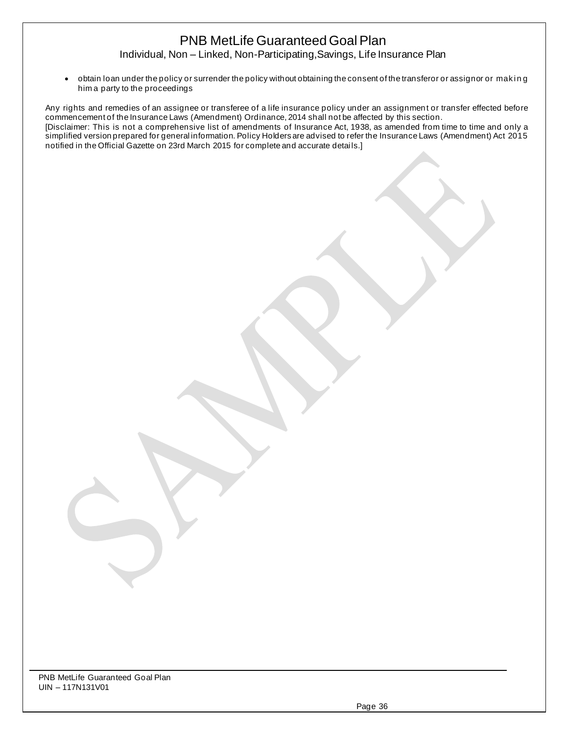Individual, Non – Linked, Non-Participating,Savings, Life Insurance Plan

• obtain loan under the policy or surrender the policy without obtaining the consent of the transferor or assignor or maki n g him a party to the proceedings

Any rights and remedies of an assignee or transferee of a life insurance policy under an assignment or transfer effected before commencement of the Insurance Laws (Amendment) Ordinance, 2014 shall not be affected by this section. [Disclaimer: This is not a comprehensive list of amendments of Insurance Act, 1938, as amended from time to time and only a simplified version prepared for general information. Policy Holders are advised to refer the Insurance Laws (Amendment) Act 2015 notified in the Official Gazette on 23rd March 2015 for complete and accurate detai ls.]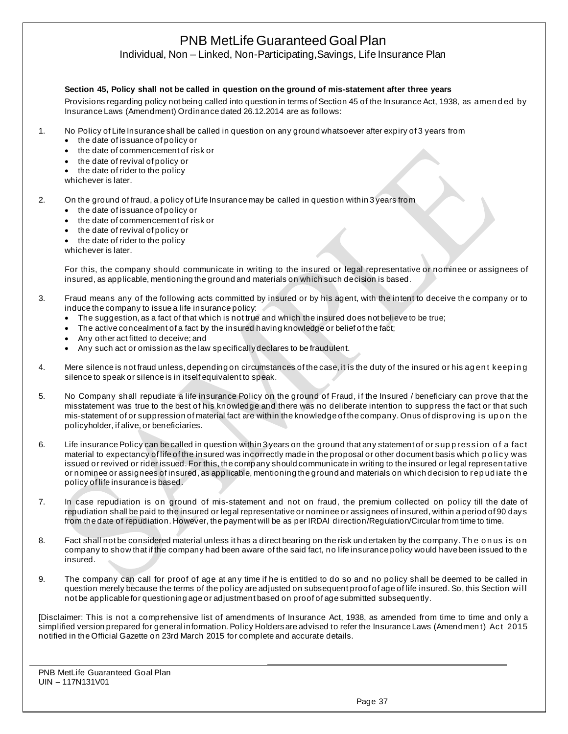Individual, Non – Linked, Non-Participating,Savings, Life Insurance Plan

#### **Section 45, Policy shall not be called in question on the ground of mis-statement after three years**

Provisions regarding policy not being called into question in terms of Section 45 of the Insurance Act, 1938, as amended by Insurance Laws (Amendment) Ordinance dated 26.12.2014 are as follows:

- 1. No Policy of Life Insurance shall be called in question on any ground whatsoever after expiry of 3 years from
	- the date of issuance of policy or
	- the date of commencement of risk or
	- the date of revival of policy or
	- the date of rider to the policy
	- whichever is later.

#### 2. On the ground of fraud, a policy of Life Insurance may be called in question within 3 years from

- the date of issuance of policy or
- the date of commencement of risk or
- the date of revival of policy or
- the date of rider to the policy

whichever is later.

For this, the company should communicate in writing to the insured or legal representative or nominee or assignees of insured, as applicable, mentioning the ground and materials on which such decision is based.

- 3. Fraud means any of the following acts committed by insured or by his agent, with the intent to deceive the company or to induce the company to issue a life insurance policy:
	- The suggestion, as a fact of that which is not true and which the insured does not believe to be true;
	- The active concealment of a fact by the insured having knowledge or belief of the fact:
	- Any other act fitted to deceive; and
	- Any such act or omission as the law specifically declares to be fraudulent.
- 4. Mere silence is not fraud unless, depending on circumstances of the case, it is the duty of the insured or his agent keeping silence to speak or silence is in itself equivalent to speak.
- 5. No Company shall repudiate a life insurance Policy on the ground of Fraud, if the Insured / beneficiary can prove that the misstatement was true to the best of his knowledge and there was no deliberate intention to suppress the fact or that such mis-statement of or suppression of material fact are within the knowledge of the company. Onus of disproving is upon the policyholder, if alive, or beneficiaries.
- 6. Life insurance Policy can be called in question within 3 years on the ground that any statement of or suppression of a fact material to expectancy of life of the insured was incorrectly made in the proposal or other document basis which policy was issued or revived or rider issued. For this, the company should communicate in writing to the insured or legal representative or nominee or assignees of insured, as applicable, mentioning the ground and materials on which decision to rep ud iate th e policy of life insurance is based.
- 7. In case repudiation is on ground of mis-statement and not on fraud, the premium collected on policy till the date of repudiation shall be paid to the insured or legal representative or nominee or assignees of insured, within a period of 90 days from the date of repudiation. However, the payment will be as per IRDAI direction/Regulation/Circular from time to time.
- 8. Fact shall not be considered material unless it has a direct bearing on the risk undertaken by the company. The onus is on company to show that if the company had been aware of the said fact, no life insurance policy would have been issued to th e insured.
- 9. The company can call for proof of age at any time if he is entitled to do so and no policy shall be deemed to be called in question merely because the terms of the policy are adjusted on subsequent proof of age of life insured. So, this Section will not be applicable for questioning age or adjustment based on proof of age submitted subsequently.

[Disclaimer: This is not a comprehensive list of amendments of Insurance Act, 1938, as amended from time to time and only a simplified version prepared for general information. Policy Holders are advised to refer the Insurance Laws (Amendmen t) Act 2015 notified in the Official Gazette on 23rd March 2015 for complete and accurate details.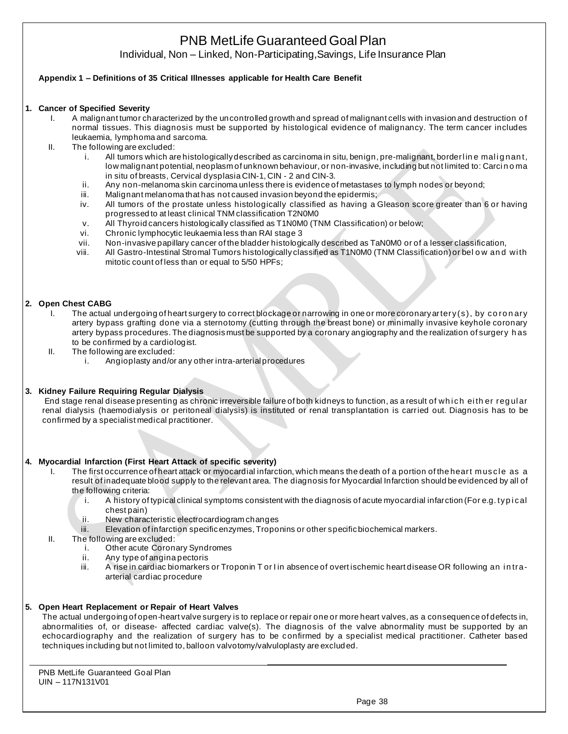Individual, Non – Linked, Non-Participating,Savings, Life Insurance Plan

### **Appendix 1 – Definitions of 35 Critical Illnesses applicable for Health Care Benefit**

#### **1. Cancer of Specified Severity**

- I. A malignant tumor characterized by the uncontrolled growth and spread of malignant cells with invasion and destruction of normal tissues. This diagnosis must be supported by histological evidence of malignancy. The term cancer includes leukaemia, lymphoma and sarcoma.
- II. The following are excluded:
	- i. All tumors which are histologically described as carcinoma in situ, benign, pre-malignant, borderline malignant, low malignant potential, neoplasm of unknown behaviour, or non-invasive, including but not limited to: Carci n o ma in situ of breasts, Cervical dysplasia CIN-1, CIN - 2 and CIN-3.
	- ii. Any non-melanoma skin carcinoma unless there is evidence of metastases to lymph nodes or beyond;
	- iii. Malignant melanoma that has not caused invasion beyond the epidermis;
	- iv. All tumors of the prostate unless histologically classified as having a Gleason score greater than 6 or having progressed to at least clinical TNM classification T2N0M0
	- v. All Thyroid cancers histologically classified as T1N0M0 (TNM Classification) or below;
	- vi. Chronic lymphocytic leukaemia less than RAI stage 3
	- vii. Non-invasive papillary cancer of the bladder histologically described as TaN0M0 or of a lesser classification,
	- viii. All Gastro-Intestinal Stromal Tumors histologically classified as T1N0M0 (TNM Classification) or bel o w an d wi th mitotic count of less than or equal to 5/50 HPFs;

#### **2. Open Chest CABG**

- I. The actual undergoing of heart surgery to correct blockage or narrowing in one or more coronary artery(s), by co ro n ary artery bypass grafting done via a sternotomy (cutting through the breast bone) or minimally invasive keyhole coronary artery bypass procedures. The diagnosis must be supported by a coronary angiography and the realization of surgery h as to be confirmed by a cardiologist.
- II. The following are excluded:
	- i. Angioplasty and/or any other intra-arterial procedures
- **3. Kidney Failure Requiring Regular Dialysis**

End stage renal disease presenting as chronic irreversible failure of both kidneys to function, as a result of which eith er regular renal dialysis (haemodialysis or peritoneal dialysis) is instituted or renal transplantation is carried out. Diagnosis has to be confirmed by a specialist medical practitioner.

#### **4. Myocardial Infarction (First Heart Attack of specific severity)**

- I. The first occurrence of heart attack or myocardial infarction, which means the death of a portion of the heart muscle as a result of inadequate blood supply to the relevant area. The diagnosis for Myocardial Infarction should be evidenced by all of the following criteria:
	- i. A history of typical clinical symptoms consistent with the diagnosis of acute myocardial infarction (For e.g. typical chest pain)
	- ii. New characteristic electrocardiogram changes
	- iii. Elevation of infarction specific enzymes, Troponins or other specific biochemical markers.
- II. The following are excluded:
	- i. Other acute Coronary Syndromes
	- ii. Any type of angina pectoris
	- iii. A rise in cardiac biomarkers or Troponin T or I in absence of overtischemic heart disease OR following an intraarterial cardiac procedure

#### **5. Open Heart Replacement or Repair of Heart Valves**

The actual undergoing of open-heart valve surgery is to replace or repair one or more heart valves, as a consequence of defects in, abnormalities of, or disease- affected cardiac valve(s). The diagnosis of the valve abnormality must be supported by an echocardiography and the realization of surgery has to be confirmed by a specialist medical practitioner. Catheter based techniques including but not limited to, balloon valvotomy/valvuloplasty are excluded.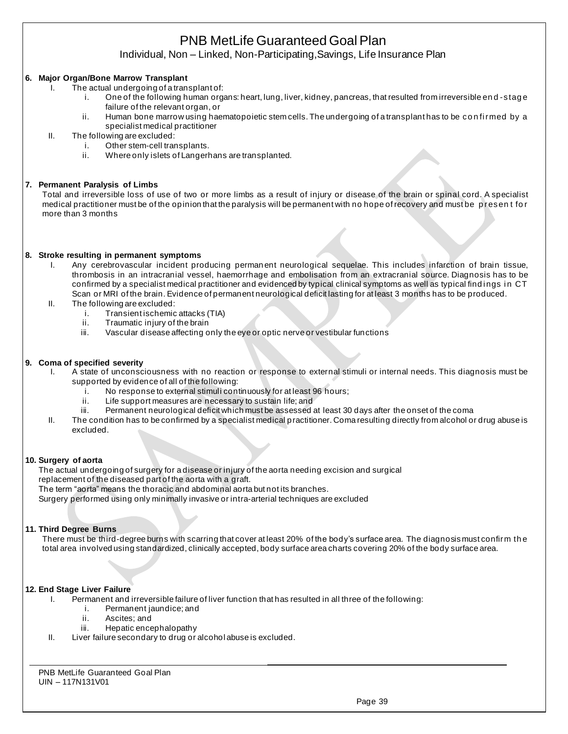Individual, Non – Linked, Non-Participating,Savings, Life Insurance Plan

### **6. Major Organ/Bone Marrow Transplant**

- I. The actual undergoing of a transplant of:
	- i. One of the following human organs: heart, lung, liver, kidney, pancreas, that resulted from irreversible en d -s tag e failure of the relevant organ, or
	- ii. Human bone marrow using haematopoietic stem cells. The undergoing of a transplant has to be confirmed by a specialist medical practitioner
- II. The following are excluded:
	- i. Other stem-cell transplants.
	- ii. Where only islets of Langerhans are transplanted.

#### **7. Permanent Paralysis of Limbs**

Total and irreversible loss of use of two or more limbs as a result of injury or disease of the brain or spinal cord. A specialist medical practitioner must be of the opinion that the paralysis will be permanent with no hope of recovery and must be p resen t fo r more than 3 months

#### **8. Stroke resulting in permanent symptoms**

- I. Any cerebrovascular incident producing perman ent neurological sequelae. This includes infarction of brain tissue, thrombosis in an intracranial vessel, haemorrhage and embolisation from an extracranial source. Diagnosis has to be confirmed by a specialist medical practitioner and evidenced by typical clinical symptoms as well as typical findings in CT Scan or MRI of the brain. Evidence of permanent neurological deficit lasting for at least 3 months has to be produced.
- II. The following are excluded:
	- i. Transient ischemic attacks (TIA)
	- ii. Traumatic injury of the brain
	- iii. Vascular disease affecting only the eye or optic nerve or vestibular functions

#### **9. Coma of specified severity**

- I. A state of unconsciousness with no reaction or response to external stimuli or internal needs. This diagnosis must be supported by evidence of all of the following:
	- i. No response to external stimuli continuously for at least 96 hours;
	- ii. Life support measures are necessary to sustain life; and
	- iii. Permanent neurological deficit which must be assessed at least 30 days after the onset of the coma
	- II. The condition has to be confirmed by a specialist medical practitioner. Coma resulting directly from alcohol or drug abuse is excluded.

#### **10. Surgery of aorta**

The actual undergoing of surgery for a disease or injury of the aorta needing excision and surgical replacement of the diseased part of the aorta with a graft.

The term "aorta" means the thoracic and abdominal aorta but not its branches.

Surgery performed using only minimally invasive or intra-arterial techniques are excluded

#### **11. Third Degree Burns**

There must be third-degree burns with scarring that cover at least 20% of the body's surface area. The diagnosis must confirm th e total area involved using standardized, clinically accepted, body surface area charts covering 20% of the body surface area.

#### **12. End Stage Liver Failure**

- I. Permanent and irreversible failure of liver function that has resulted in all three of the following:
	- i. Permanent jaundice; and
		- ii. Ascites; and
		- iii. Hepatic encephalopathy
- II. Liver failure secondary to drug or alcohol abuse is excluded.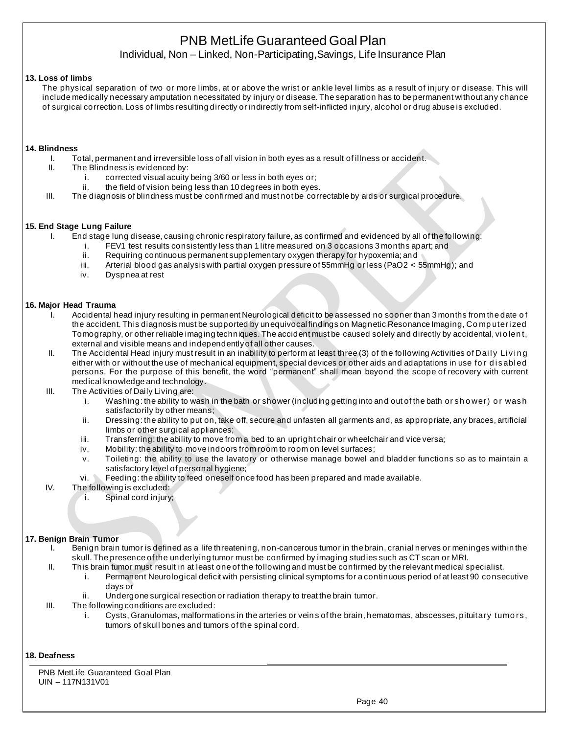Individual, Non – Linked, Non-Participating,Savings, Life Insurance Plan

#### **13. Loss of limbs**

The physical separation of two or more limbs, at or above the wrist or ankle level limbs as a result of injury or disease. This will include medically necessary amputation necessitated by injury or disease. The separation has to be permanent without any chance of surgical correction. Loss of limbs resulting directly or indirectly from self-inflicted injury, alcohol or drug abuse is excluded.

#### **14. Blindness**

- I. Total, permanent and irreversible loss of all vision in both eyes as a result of illness or accident.
- II. The Blindness is evidenced by:
	- i. corrected visual acuity being 3/60 or less in both eyes or;
	- ii. the field of vision being less than 10 degrees in both eyes.
- III. The diagnosis of blindness must be confirmed and must not be correctable by aids or surgical procedure.

#### **15. End Stage Lung Failure**

- I. End stage lung disease, causing chronic respiratory failure, as confirmed and evidenced by all of the following:
	- i. FEV1 test results consistently less than 1 litre measured on 3 occasions 3 months apart; and
	- ii. Requiring continuous permanent supplementary oxygen therapy for hypoxemia; and
	- iii. Arterial blood gas analysis with partial oxygen pressure of 55mmHg or less (PaO2 < 55mmHg); and
	- iv. Dyspnea at rest

#### **16. Major Head Trauma**

- I. Accidental head injury resulting in permanent Neurological deficit to be assessed no sooner than 3 months from the date o f the accident. This diagnosis must be supported by unequivocal findings on Magnetic Resonance Imaging, Co mp uteri zed Tomography, or other reliable imaging techniques. The accident must be caused solely and directly by accidental, vi o len t, external and visible means and independently of all other causes.
- II. The Accidental Head injury must result in an inability to perform at least three (3) of the following Activities of Daily Living either with or without the use of mechanical equipment, special devices or other aids and adaptations in use for disabled persons. For the purpose of this benefit, the word "permanent" shall mean beyond the scope of recovery with current medical knowledge and technology.
- III. The Activities of Daily Living are:
	- i. Washing: the ability to wash in the bath or shower (including getting into and out of the bath or shower) or wash satisfactorily by other means;
	- ii. Dressing: the ability to put on, take off, secure and unfasten all garments and, as appropriate, any braces, artificial limbs or other surgical appliances;
	- iii. Transferring: the ability to move from a bed to an upright chair or wheelchair and vice versa;
	- iv. Mobility: the ability to move indoors from room to room on level surfaces;
	- v. Toileting: the ability to use the lavatory or otherwise manage bowel and bladder functions so as to maintain a satisfactory level of personal hygiene;
	- vi. Feeding: the ability to feed oneself once food has been prepared and made available.
- IV. The following is excluded:
	- i. Spinal cord injury;

### **17. Benign Brain Tumor**

- I. Benign brain tumor is defined as a life threatening, non-cancerous tumor in the brain, cranial nerves or meninges within the skull. The presence of the underlying tumor must be confirmed by imaging studies such as CT scan or MRI.
- II. This brain tumor must result in at least one of the following and must be confirmed by the relevant medical specialist. i. Permanent Neurological deficit with persisting clinical symptoms for a continuous period of at least 90 consecutive
	- days or
	- ii. Undergone surgical resection or radiation therapy to treat the brain tumor.
- III. The following conditions are excluded:
	- i. Cysts, Granulomas, malformations in the arteries or vein s of the brain, hematomas, abscesses, pituitary tumo rs, tumors of skull bones and tumors of the spinal cord.

#### **18. Deafness**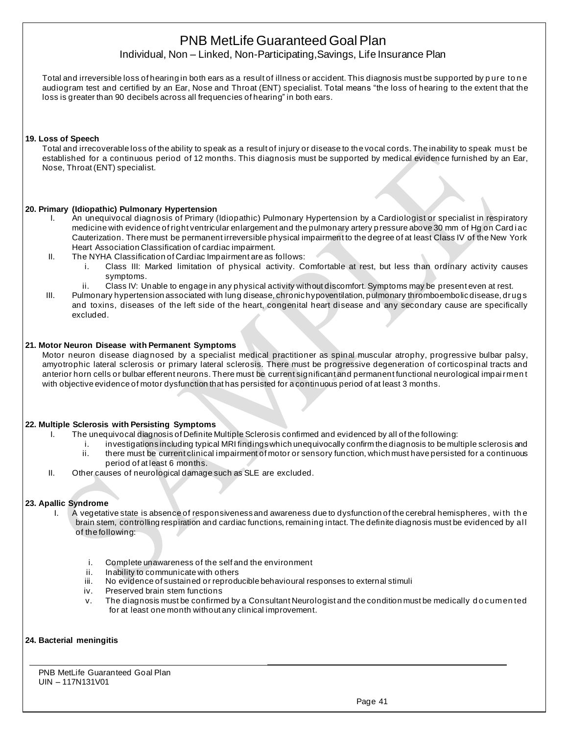Individual, Non – Linked, Non-Participating,Savings, Life Insurance Plan

Total and irreversible loss of hearing in both ears as a result of illness or accident. This diagnosis must be supported by p ure to n e audiogram test and certified by an Ear, Nose and Throat (ENT) specialist. Total means "the loss of hearing to the extent that the loss is greater than 90 decibels across all frequencies of hearing" in both ears.

#### **19. Loss of Speech**

Total and irrecoverable loss of the ability to speak as a result of injury or disease to the vocal cords. The inability to speak must be established for a continuous period of 12 months. This diagnosis must be supported by medical evidence furnished by an Ear, Nose, Throat (ENT) specialist.

#### **20. Primary (Idiopathic) Pulmonary Hypertension**

- I. An unequivocal diagnosis of Primary (Idiopathic) Pulmonary Hypertension by a Cardiologist or specialist in respiratory medicine with evidence of right ventricular enlargement and the pulmonary artery pressure above 30 mm of Hg on Cardiac Cauterization. There must be permanent irreversible physical impairment to the degree of at least Class IV of the New York Heart Association Classification of cardiac impairment.
- II. The NYHA Classification of Cardiac Impairment are as follows:
	- i. Class III: Marked limitation of physical activity. Comfortable at rest, but less than ordinary activity causes symptoms.
	- ii. Class IV: Unable to engage in any physical activity without discomfort. Symptoms may be present even at rest.
- III. Pulmonary hypertension associated with lung disease, chronic hypoventilation, pulmonary thromboembolic disease, drug s and toxins, diseases of the left side of the heart, congenital heart disease and any secondary cause are specifically excluded.

#### **21. Motor Neuron Disease with Permanent Symptoms**

Motor neuron disease diagnosed by a specialist medical practitioner as spinal muscular atrophy, progressive bulbar palsy, amyotrophic lateral sclerosis or primary lateral sclerosis. There must be progressive degeneration of corticospinal tracts and anterior horn cells or bulbar efferent neurons. There must be current significant and permanent functional neurological impai rmen t with objective evidence of motor dysfunction that has persisted for a continuous period of at least 3 months.

#### **22. Multiple Sclerosis with Persisting Symptoms**

- I. The unequivocal diagnosis of Definite Multiple Sclerosis confirmed and evidenced by all of the following:
	- i. investigations including typical MRI findings which unequivocally confirm the diagnosis to be multiple sclerosis and ii. there must be current clinical impairment of motor or sensory function, which must have persisted for a continuous period of at least 6 months.
- II. Other causes of neurological damage such as SLE are excluded.

#### **23. Apallic Syndrome**

- I. A vegetative state is absence of responsiveness and awareness due to dysfunction of the cerebral hemispheres, wi th th e brain stem, controlling respiration and cardiac functions, remaining intact. The definite diagnosis must be evidenced by al l of the following:
	- i. Complete unawareness of the self and the environment
	- ii. Inability to communicate with others
	- iii. No evidence of sustained or reproducible behavioural responses to external stimuli
	- iv. Preserved brain stem functions
	- v. The diagnosis must be confirmed by a Consultant Neurologist and the condition must be medically d o cumen ted for at least one month without any clinical improvement.

#### **24. Bacterial meningitis**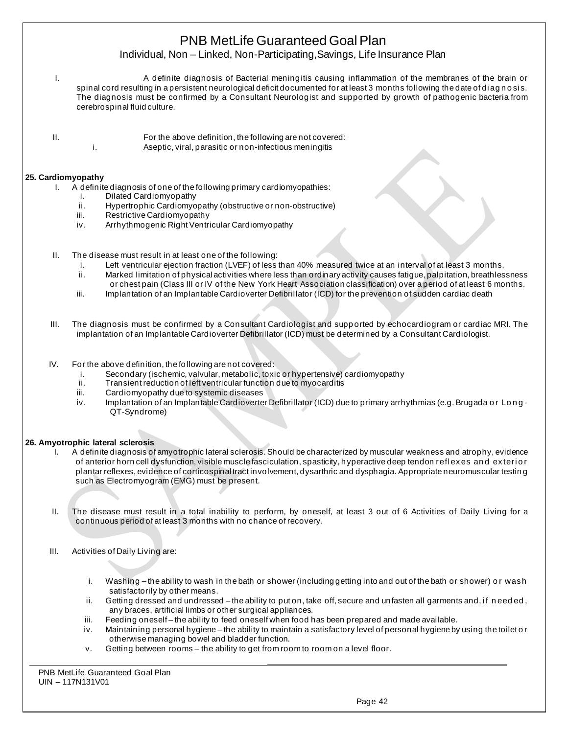## Individual, Non – Linked, Non-Participating,Savings, Life Insurance Plan

- I. A definite diagnosis of Bacterial meningitis causing inflammation of the membranes of the brain or spinal cord resulting in a persistent neurological deficit documented for at least 3 months following the date of diagnosis. The diagnosis must be confirmed by a Consultant Neurologist and supported by growth of pathogenic bacteria from cerebrospinal fluid culture.
- 
- II. For the above definition, the following are not covered: i. Aseptic, viral, parasitic or non-infectious meningitis

### **25. Cardiomyopathy**

- I. A definite diagnosis of one of the following primary cardiomyopathies:
	- i. Dilated Cardiomyopathy
	- ii. Hypertrophic Cardiomyopathy (obstructive or non-obstructive)
	- iii. Restrictive Cardiomyopathy
	- iv. Arrhythmogenic Right Ventricular Cardiomyopathy
- II. The disease must result in at least one of the following:
	- i. Left ventricular ejection fraction (LVEF) of less than 40% measured twice at an interval of at least 3 months.
	- ii. Marked limitation of physical activities where less than ordinary activity causes fatigue, palpitation, breathlessness or chest pain (Class III or IV of the New York Heart Association classification) over a period of at least 6 months.
	- iii. Implantation of an Implantable Cardioverter Defibrillator (ICD) for the prevention of sudden cardiac death
- III. The diagnosis must be confirmed by a Consultant Cardiologist and supp orted by echocardiogram or cardiac MRI. The implantation of an Implantable Cardioverter Defibrillator (ICD) must be determined by a Consultant Cardiologist.
- IV. For the above definition, the following are not covered:
	- i. Secondary (ischemic, valvular, metabolic, toxic or hypertensive) cardiomyopathy
	- Transient reduction of left ventricular function due to myocarditis
	- iii. Cardiomyopathy due to systemic diseases
	- iv. Implantation of an Implantable Cardioverter Defibrillator (ICD) due to primary arrhythmias (e.g. Brugada or Long-QT-Syndrome)

#### **26. Amyotrophic lateral sclerosis**

- A definite diagnosis of amyotrophic lateral sclerosis. Should be characterized by muscular weakness and atrophy, evidence of anterior horn cell dysfunction, visible muscle fasciculation, spasticity, hyperactive deep tendon reflexes and exterior plantar reflexes, evidence of corticospinal tract involvement, dysarthric and dysphagia. Appropriate neuromuscular testin g such as Electromyogram (EMG) must be present.
- II. The disease must result in a total inability to perform, by oneself, at least 3 out of 6 Activities of Daily Living for a continuous period of at least 3 months with no chance of recovery.
- III. Activities of Daily Living are:
	- i. Washing the ability to wash in the bath or shower (including getting into and out of the bath or shower) or wash satisfactorily by other means.
	- ii. Getting dressed and undressed the ability to put on, take off, secure and unfasten all garments and, if needed, any braces, artificial limbs or other surgical appliances.
	- iii. Feeding oneself-the ability to feed oneself when food has been prepared and made available.
	- iv. Maintaining personal hygiene the ability to maintain a satisfactory level of personal hygiene by using the toilet o r otherwise managing bowel and bladder function.
	- v. Getting between rooms the ability to get from room to room on a level floor.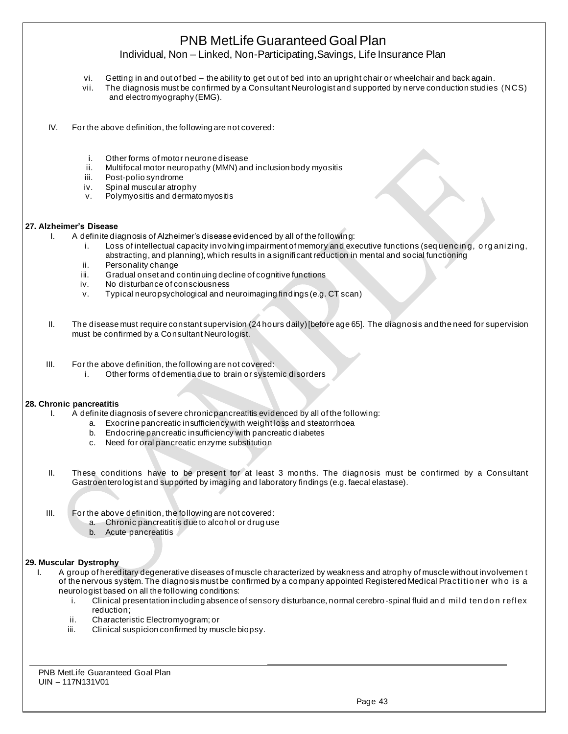Individual, Non – Linked, Non-Participating,Savings, Life Insurance Plan

- vi. Getting in and out of bed the ability to get out of bed into an upright chair or wheelchair and back again.
- vii. The diagnosis must be confirmed by a Consultant Neurologist and supported by nerve conduction studies (NCS) and electromyography (EMG).
- IV. For the above definition, the following are not covered:
	- i. Other forms of motor neurone disease
	- ii. Multifocal motor neuropathy (MMN) and inclusion body myositis
	- iii. Post-polio syndrome
	- iv. Spinal muscular atrophy
	- v. Polymyositis and dermatomyositis

#### **27. Alzheimer's Disease**

- I. A definite diagnosis of Alzheimer's disease evidenced by all of the following:
	- i. Loss of intellectual capacity involving impairment of memory and executive functions (sequencing, organizing, abstracting, and planning), which results in a significant reduction in mental and social functioning
	- ii. Personality change
	- iii. Gradual onset and continuing decline of cognitive functions
	- iv. No disturbance of consciousness
	- v. Typical neuropsychological and neuroimaging findings (e.g. CT scan)
- II. The disease must require constant supervision (24 hours daily) [before age 65]. The diagnosis and the need for supervision must be confirmed by a Consultant Neurologist.
- III. For the above definition, the following are not covered:
	- i. Other forms of dementia due to brain or systemic disorders

#### **28. Chronic pancreatitis**

- I. A definite diagnosis of severe chronic pancreatitis evidenced by all of the following:
	- a. Exocrine pancreatic insufficiency with weight loss and steatorrhoea
		- b. Endocrine pancreatic insufficiency with pancreatic diabetes
		- c. Need for oral pancreatic enzyme substitution
- II. These conditions have to be present for at least 3 months. The diagnosis must be confirmed by a Consultant Gastroenterologist and supported by imaging and laboratory findings (e.g. faecal elastase).
- III. For the above definition, the following are not covered:
	- a. Chronic pancreatitis due to alcohol or drug use
	- b. Acute pancreatitis

#### **29. Muscular Dystrophy**

- I. A group of hereditary degenerative diseases of muscle characterized by weakness and atrophy of muscle without involvemen t of the nervous system. The diagnosis must be confirmed by a company appointed Registered Medical Practitioner who is a neurologist based on all the following conditions:
	- i. Clinical presentation including absence of sensory disturbance, normal cerebro-spinal fluid and mild tend on reflex reduction;
	- ii. Characteristic Electromyogram; or
	- iii. Clinical suspicion confirmed by muscle biopsy.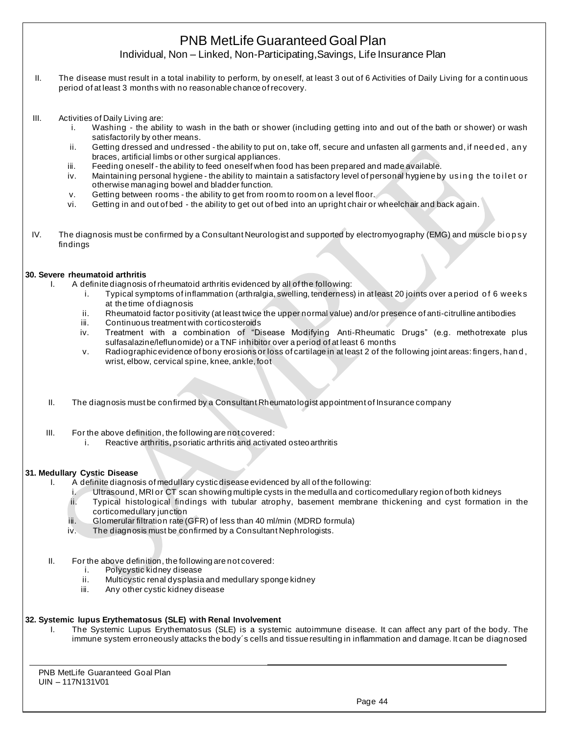Individual, Non – Linked, Non-Participating,Savings, Life Insurance Plan

- II. The disease must result in a total inability to perform, by oneself, at least 3 out of 6 Activities of Daily Living for a continuous period of at least 3 months with no reasonable chance of recovery.
- III. Activities of Daily Living are:
	- i. Washing the ability to wash in the bath or shower (including getting into and out of the bath or shower) or wash satisfactorily by other means.
	- ii. Getting dressed and undressed the ability to put on, take off, secure and unfasten all garments and, if need ed , an y braces, artificial limbs or other surgical appliances.
	- iii. Feeding oneself the ability to feed oneself when food has been prepared and made available.
	- iv. Maintaining personal hygiene the ability to maintain a satisfactory level of personal hygiene by using the toilet or otherwise managing bowel and bladder function.
	- v. Getting between rooms the ability to get from room to room on a level floor.
	- vi. Getting in and out of bed the ability to get out of bed into an upright chair or wheelchair and back again.
- IV. The diagnosis must be confirmed by a Consultant Neurologist and supported by electromyography (EMG) and muscle biopsy findings

#### **30. Severe rheumatoid arthritis**

- I. A definite diagnosis of rheumatoid arthritis evidenced by all of the following:
	- i. Typical symptoms of inflammation (arthralgia, swelling, tenderness) in at least 20 joints over a period o f 6 weeks at the time of diagnosis
	- ii. Rheumatoid factor positivity (at least twice the upper normal value) and/or presence of anti-citrulline antibodies
	- iii. Continuous treatment with corticosteroids
	- iv. Treatment with a combination of "Disease Modifying Anti-Rheumatic Drugs" (e.g. methotrexate plus sulfasalazine/leflunomide) or a TNF inhibitor over a period of at least 6 months
	- v. Radiographic evidence of bony erosions or loss of cartilage in at least 2 of the following joint areas: fingers, han d , wrist, elbow, cervical spine, knee, ankle, foot
- II. The diagnosis must be confirmed by a Consultant Rheumatologist appointment of Insurance company
- III. For the above definition, the following are not covered:
	- i. Reactive arthritis, psoriatic arthritis and activated osteoarthritis

#### **31. Medullary Cystic Disease**

- I. A definite diagnosis of medullary cystic disease evidenced by all of the following:
	- i. Ultrasound, MRI or CT scan showing multiple cysts in the medulla and corticomedullary region of both kidneys
	- ii. Typical histological findings with tubular atrophy, basement membrane thickening and cyst formation in the corticomedullary junction
	- iii. Glomerular filtration rate (GFR) of less than 40 ml/min (MDRD formula)
	- iv. The diagnosis must be confirmed by a Consultant Nephrologists.
- II. For the above definition, the following are not covered:
	- i. Polycystic kidney disease
	- ii. Multicystic renal dysplasia and medullary sponge kidney
	- iii. Any other cystic kidney disease

#### **32. Systemic lupus Erythematosus (SLE) with Renal Involvement**

I. The Systemic Lupus Erythematosus (SLE) is a systemic autoimmune disease. It can affect any part of the body. The immune system erroneously attacks the body´s cells and tissue resulting in inflammation and damage. It can be diagnosed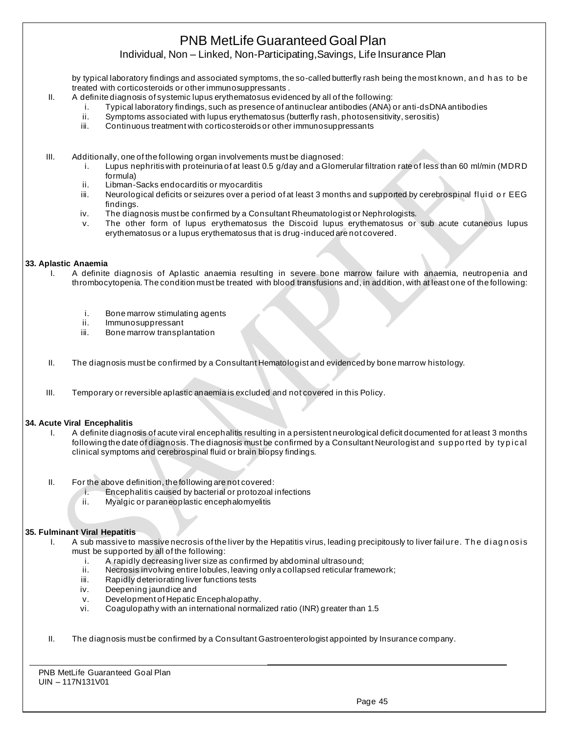Individual, Non – Linked, Non-Participating,Savings, Life Insurance Plan

by typical laboratory findings and associated symptoms, the so-called butterfly rash being the most known, and has to be treated with corticosteroids or other immunosuppressants .

- II. A definite diagnosis of systemic lupus erythematosus evidenced by all of the following:
	- i. Typical laboratory findings, such as presence of antinuclear antibodies (ANA) or anti-dsDNA antibodies
	- ii. Symptoms associated with lupus erythematosus (butterfly rash, photosensitivity, serositis)
	- iii. Continuous treatment with corticosteroids or other immunosuppressants

III. Additionally, one of the following organ involvements must be diagnosed:

- i. Lupus nephritis with proteinuria of at least 0.5 g/day and a Glomerular filtration rate of less than 60 ml/min (MDRD formula)
- ii. Libman-Sacks endocarditis or myocarditis
- iii. Neurological deficits or seizures over a period of at least 3 months and supported by cerebrospinal fluid or EEG findings.
- iv. The diagnosis must be confirmed by a Consultant Rheumatologist or Nephrologists.
- v. The other form of lupus erythematosus the Discoid lupus erythematosus or sub acute cutaneous lupus erythematosus or a lupus erythematosus that is drug-induced are not covered.

#### **33. Aplastic Anaemia**

- I. A definite diagnosis of Aplastic anaemia resulting in severe bone marrow failure with anaemia, neutropenia and thrombocytopenia. The condition must be treated with blood transfusions and, in addition, with at least one of the following:
	- i. Bone marrow stimulating agents
	- ii. Immunosuppressant
	- iii. Bone marrow transplantation
- II. The diagnosis must be confirmed by a Consultant Hematologist and evidenced by bone marrow histology.
- III. Temporary or reversible aplastic anaemia is excluded and not covered in this Policy.

#### **34. Acute Viral Encephalitis**

- I. A definite diagnosis of acute viral encephalitis resulting in a persistent neurological deficit documented for at least 3 months following the date of diagnosis. The diagnosis must be confirmed by a Consultant Neurologist and supported by typical clinical symptoms and cerebrospinal fluid or brain biopsy findings.
- II. For the above definition, the following are not covered:
	- i. Encephalitis caused by bacterial or protozoal infections
	- ii. Myalgic or paraneoplastic encephalomyelitis

#### **35. Fulminant Viral Hepatitis**

- I. A sub massive to massive necrosis of the liver by the Hepatitis virus, leading precipitously to liver failure. The diagnosis must be supported by all of the following:
	- i. A rapidly decreasing liver size as confirmed by abdominal ultrasound;<br>ii. Necrosis involving entire lobules, leaving only a collapsed reticular frai
	- Necrosis involving entire lobules, leaving only a collapsed reticular framework;
	- iii. Rapidly deteriorating liver functions tests
	- iv. Deepening jaundice and
	- v. Development of Hepatic Encephalopathy.
	- vi. Coagulopathy with an international normalized ratio (INR) greater than 1.5
- II. The diagnosis must be confirmed by a Consultant Gastroenterologist appointed by Insurance company.